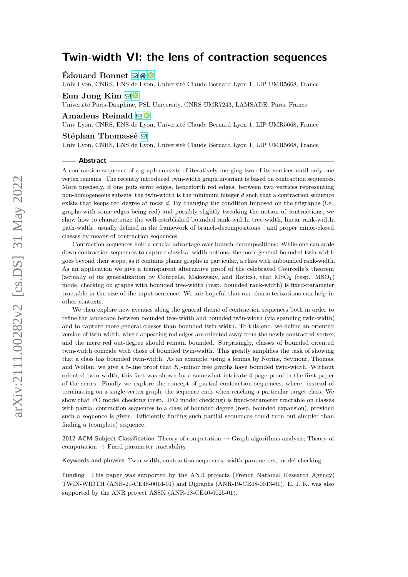**Édouard Bonnet** ⊠\* <sup>■</sup>

Univ Lyon, CNRS, ENS de Lyon, Université Claude Bernard Lyon 1, LIP UMR5668, France

## **Eun Jung Kim** [!](mailto:eun-jung.kim@dauphine.fr)

Université Paris-Dauphine, PSL University, CNRS UMR7243, LAMSADE, Paris, France

## **Amadeus Reinald** [!](mailto:amadeus.reinald@ens-lyon.fr)

Univ Lyon, CNRS, ENS de Lyon, Université Claude Bernard Lyon 1, LIP UMR5668, France

#### **Stéphan Thomassé** [!](mailto:stephan.thomasse@ens-lyon.fr)

Univ Lyon, CNRS, ENS de Lyon, Université Claude Bernard Lyon 1, LIP UMR5668, France

#### **Abstract**

A contraction sequence of a graph consists of iteratively merging two of its vertices until only one vertex remains. The recently introduced twin-width graph invariant is based on contraction sequences. More precisely, if one puts error edges, henceforth red edges, between two vertices representing non-homogeneous subsets, the twin-width is the minimum integer *d* such that a contraction sequence exists that keeps red degree at most *d*. By changing the condition imposed on the trigraphs (i.e., graphs with some edges being red) and possibly slightly tweaking the notion of contractions, we show how to characterize the well-established bounded rank-width, tree-width, linear rank-width, path-width –usually defined in the framework of branch-decompositions–, and proper minor-closed classes by means of contraction sequences.

Contraction sequences hold a crucial advantage over branch-decompositions: While one can scale down contraction sequences to capture classical width notions, the more general bounded twin-width goes beyond their scope, as it contains planar graphs in particular, a class with unbounded rank-width. As an application we give a transparent alternative proof of the celebrated Courcelle's theorem (actually of its generalization by Courcelle, Makowsky, and Rotics), that  $MSO<sub>2</sub>$  (resp.  $MSO<sub>1</sub>$ ) model checking on graphs with bounded tree-width (resp. bounded rank-width) is fixed-parameter tractable in the size of the input sentence. We are hopeful that our characterizations can help in other contexts.

We then explore new avenues along the general theme of contraction sequences both in order to refine the landscape between bounded tree-width and bounded twin-width (via spanning twin-width) and to capture more general classes than bounded twin-width. To this end, we define an oriented version of twin-width, where appearing red edges are oriented away from the newly contracted vertex, and the mere red out-degree should remain bounded. Surprisingly, classes of bounded oriented twin-width coincide with those of bounded twin-width. This greatly simplifies the task of showing that a class has bounded twin-width. As an example, using a lemma by Norine, Seymour, Thomas, and Wollan, we give a 5-line proof that  $K_t$ -minor free graphs have bounded twin-width. Without oriented twin-width, this fact was shown by a somewhat intricate 4-page proof in the first paper of the series. Finally we explore the concept of partial contraction sequences, where, instead of terminating on a single-vertex graph, the sequence ends when reaching a particular target class. We show that FO model checking (resp. ∃FO model checking) is fixed-parameter tractable on classes with partial contraction sequences to a class of bounded degree (resp. bounded expansion), provided such a sequence is given. Efficiently finding such partial sequences could turn out simpler than finding a (complete) sequence.

**2012 ACM Subject Classification** Theory of computation → Graph algorithms analysis; Theory of computation  $\rightarrow$  Fixed parameter tractability

**Keywords and phrases** Twin-width, contraction sequences, width parameters, model checking

**Funding** This paper was supported by the ANR projects (French National Research Agency) TWIN-WIDTH (ANR-21-CE48-0014-01) and Digraphs (ANR-19-CE48-0013-01). E. J. K. was also supported by the ANR project ASSK (ANR-18-CE40-0025-01).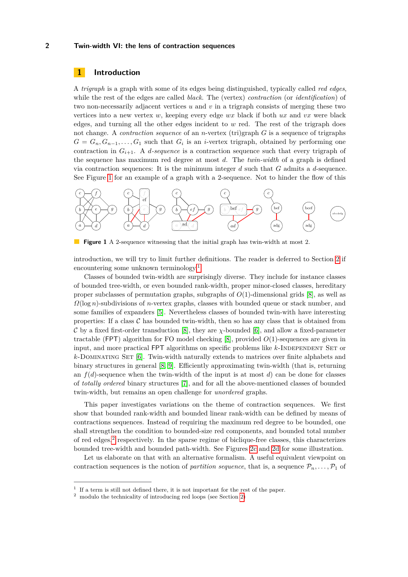# **1 Introduction**

A *trigraph* is a graph with some of its edges being distinguished, typically called *red edges*, while the rest of the edges are called *black*. The (vertex) *contraction* (or *identification*) of two non-necessarily adjacent vertices *u* and *v* in a trigraph consists of merging these two vertices into a new vertex *w*, keeping every edge *wx* black if both *ux* and *vx* were black edges, and turning all the other edges incident to *w* red. The rest of the trigraph does not change. A *contraction sequence* of an *n*-vertex (tri)graph *G* is a sequence of trigraphs  $G = G_n, G_{n-1}, \ldots, G_1$  such that  $G_i$  is an *i*-vertex trigraph, obtained by performing one contraction in  $G_{i+1}$ . A *d*-sequence is a contraction sequence such that every trigraph of the sequence has maximum red degree at most *d*. The *twin-width* of a graph is defined via contraction sequences: It is the minimum integer *d* such that *G* admits a *d*-sequence. See Figure [1](#page-1-0) for an example of a graph with a 2-sequence. Not to hinder the flow of this

<span id="page-1-0"></span>

**Figure 1** A 2-sequence witnessing that the initial graph has twin-width at most 2.

introduction, we will try to limit further definitions. The reader is deferred to Section [2](#page-5-0) if encountering some unknown terminology.[1](#page-1-1)

Classes of bounded twin-width are surprisingly diverse. They include for instance classes of bounded tree-width, or even bounded rank-width, proper minor-closed classes, hereditary proper subclasses of permutation graphs, subgraphs of *O*(1)-dimensional grids [\[8\]](#page-24-0), as well as *Ω*(log *n*)-subdivisions of *n*-vertex graphs, classes with bounded queue or stack number, and some families of expanders [\[5\]](#page-24-1). Nevertheless classes of bounded twin-with have interesting properties: If a class  $\mathcal C$  has bounded twin-width, then so has any class that is obtained from C by a fixed first-order transduction [\[8\]](#page-24-0), they are *χ*-bounded [\[6\]](#page-24-2), and allow a fixed-parameter tractable (FPT) algorithm for FO model checking [\[8\]](#page-24-0), provided *O*(1)-sequences are given in input, and more practical FPT algorithms on specific problems like *k*-INDEPENDENT SET or *k*-Dominating Set [\[6\]](#page-24-2). Twin-width naturally extends to matrices over finite alphabets and binary structures in general [\[8,](#page-24-0) [9\]](#page-24-3). Efficiently approximating twin-width (that is, returning an  $f(d)$ -sequence when the twin-width of the input is at most *d*) can be done for classes of *totally ordered* binary structures [\[7\]](#page-24-4), and for all the above-mentioned classes of bounded twin-width, but remains an open challenge for *unordered* graphs.

This paper investigates variations on the theme of contraction sequences. We first show that bounded rank-width and bounded linear rank-width can be defined by means of contractions sequences. Instead of requiring the maximum red degree to be bounded, one shall strengthen the condition to bounded-size red components, and bounded total number of red edges,<sup>[2](#page-1-2)</sup> respectively. In the sparse regime of biclique-free classes, this characterizes bounded tree-width and bounded path-width. See Figures [2c](#page-2-0) and [2d](#page-2-0) for some illustration.

Let us elaborate on that with an alternative formalism. A useful equivalent viewpoint on contraction sequences is the notion of *partition sequence*, that is, a sequence  $\mathcal{P}_n, \ldots, \mathcal{P}_1$  of

<span id="page-1-1"></span><sup>&</sup>lt;sup>1</sup> If a term is still not defined there, it is not important for the rest of the paper.

<span id="page-1-2"></span><sup>2</sup> modulo the technicality of introducing red loops (see Section [2\)](#page-5-0)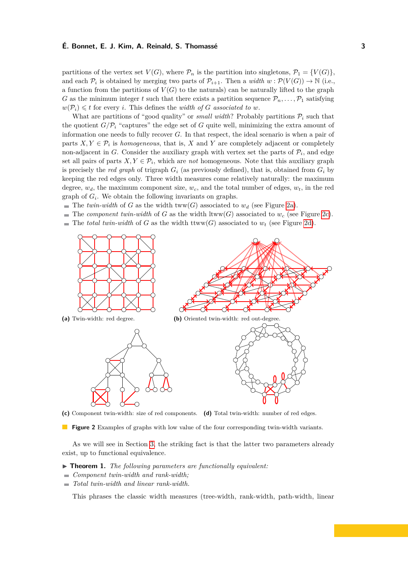partitions of the vertex set  $V(G)$ , where  $\mathcal{P}_n$  is the partition into singletons,  $\mathcal{P}_1 = \{V(G)\}\$ , and each  $\mathcal{P}_i$  is obtained by merging two parts of  $\mathcal{P}_{i+1}$ . Then a *width*  $w : \mathcal{P}(V(G)) \to \mathbb{N}$  (i.e., a function from the partitions of  $V(G)$  to the naturals) can be naturally lifted to the graph *G* as the minimum integer *t* such that there exists a partition sequence  $\mathcal{P}_n, \ldots, \mathcal{P}_1$  satisfying  $w(\mathcal{P}_i) \leq t$  for every *i*. This defines the *width of G associated to w*.

What are partitions of "good quality" or *small width*? Probably partitions  $\mathcal{P}_i$  such that the quotient  $G/P_i$  "captures" the edge set of G quite well, minimizing the extra amount of information one needs to fully recover *G*. In that respect, the ideal scenario is when a pair of parts  $X, Y \in \mathcal{P}_i$  is *homogeneous*, that is, *X* and *Y* are completely adjacent or completely non-adjacent in *G*. Consider the auxiliary graph with vertex set the parts of  $P_i$ , and edge set all pairs of parts  $X, Y \in \mathcal{P}_i$ , which are *not* homogeneous. Note that this auxiliary graph is precisely the *red graph* of trigraph  $G_i$  (as previously defined), that is, obtained from  $G_i$  by keeping the red edges only. Three width measures come relatively naturally: the maximum degree,  $w_d$ , the maximum component size,  $w_c$ , and the total number of edges,  $w_t$ , in the red graph of  $G_i$ . We obtain the following invariants on graphs.

- The *twin-width* of *G* as the width  $tww(G)$  associated to  $w_d$  (see Figure [2a\)](#page-2-0).
- The *component twin-width* of *G* as the width ltww(*G*) associated to  $w_c$  (see Figure [2c\)](#page-2-0).
- The *total twin-width* of *G* as the width ttww(*G*) associated to  $w_t$  (see Figure [2d\)](#page-2-0).

<span id="page-2-0"></span>

**(c)** Component twin-width: size of red components. **(d)** Total twin-width: number of red edges.

**Figure 2** Examples of graphs with low value of the four corresponding twin-width variants.

As we will see in Section [3,](#page-10-0) the striking fact is that the latter two parameters already exist, up to functional equivalence.

- <span id="page-2-1"></span>▶ **Theorem 1.** *The following parameters are functionally equivalent:*
- *Component twin-width and rank-width;*
- *Total twin-width and linear rank-width.*

This phrases the classic width measures (tree-width, rank-width, path-width, linear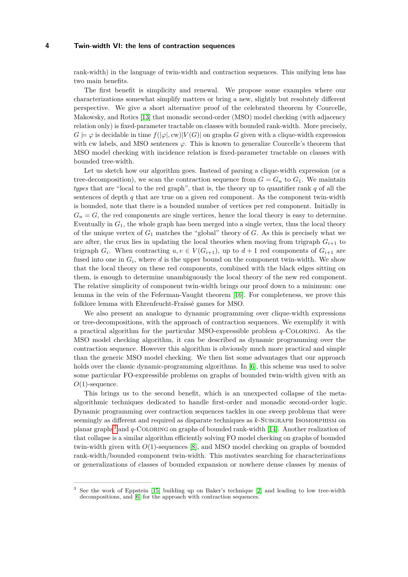rank-width) in the language of twin-width and contraction sequences. This unifying lens has two main benefits.

The first benefit is simplicity and renewal. We propose some examples where our characterizations somewhat simplify matters or bring a new, slightly but resolutely different perspective. We give a short alternative proof of the celebrated theorem by Courcelle, Makowsky, and Rotics [\[13\]](#page-25-0) that monadic second-order (MSO) model checking (with adjacency relation only) is fixed-parameter tractable on classes with bounded rank-width. More precisely,  $G \models \varphi$  is decidable in time  $f(|\varphi|, \text{cw})|V(G)|$  on graphs *G* given with a clique-width expression with cw labels, and MSO sentences  $\varphi$ . This is known to generalize Courcelle's theorem that MSO model checking with incidence relation is fixed-parameter tractable on classes with bounded tree-width.

Let us sketch how our algorithm goes. Instead of parsing a clique-width expression (or a tree-decomposition), we scan the contraction sequence from  $G = G_n$  to  $G_1$ . We maintain *types* that are "local to the red graph", that is, the theory up to quantifier rank *q* of all the sentences of depth  $q$  that are true on a given red component. As the component twin-width is bounded, note that there is a bounded number of vertices per red component. Initially in  $G_n = G$ , the red components are single vertices, hence the local theory is easy to determine. Eventually in  $G_1$ , the whole graph has been merged into a single vertex, thus the local theory of the unique vertex of *G*<sup>1</sup> matches the "global" theory of *G*. As this is precisely what we are after, the crux lies in updating the local theories when moving from trigraph  $G_{i+1}$  to trigraph  $G_i$ . When contracting  $u, v \in V(G_{i+1})$ , up to  $d+1$  red components of  $G_{i+1}$  are fused into one in  $G_i$ , where *d* is the upper bound on the component twin-width. We show that the local theory on these red components, combined with the black edges sitting on them, is enough to determine unambiguously the local theory of the new red component. The relative simplicity of component twin-width brings our proof down to a minimum: one lemma in the vein of the Feferman-Vaught theorem [\[16\]](#page-25-1). For completeness, we prove this folklore lemma with Ehrenfeucht-Fraïssé games for MSO.

We also present an analogue to dynamic programming over clique-width expressions or tree-decompositions, with the approach of contraction sequences. We exemplify it with a practical algorithm for the particular MSO-expressible problem *q*-Coloring. As the MSO model checking algorithm, it can be described as dynamic programming over the contraction sequence. However this algorithm is obviously much more practical and simple than the generic MSO model checking. We then list some advantages that our approach holds over the classic dynamic-programming algorithms. In [\[6\]](#page-24-2), this scheme was used to solve some particular FO-expressible problems on graphs of bounded twin-width given with an *O*(1)-sequence.

This brings us to the second benefit, which is an unexpected collapse of the metaalgorithmic techniques dedicated to handle first-order and monadic second-order logic. Dynamic programming over contraction sequences tackles in one sweep problems that were seemingly as different and required as disparate techniques as *k*-SUBGRAPH ISOMORPHISM on planar graphs[3](#page-3-0) and *q*-Coloring on graphs of bounded rank-width [\[14\]](#page-25-2). Another realization of that collapse is a similar algorithm efficiently solving FO model checking on graphs of bounded twin-width given with *O*(1)-sequences [\[8\]](#page-24-0), and MSO model checking on graphs of bounded rank-width/bounded component twin-width. This motivates searching for characterizations or generalizations of classes of bounded expansion or nowhere dense classes by means of

<span id="page-3-0"></span><sup>3</sup> See the work of Eppstein [\[15\]](#page-25-3) building up on Baker's technique [\[2\]](#page-24-5) and leading to low tree-width decompositions, and [\[6\]](#page-24-2) for the approach with contraction sequences.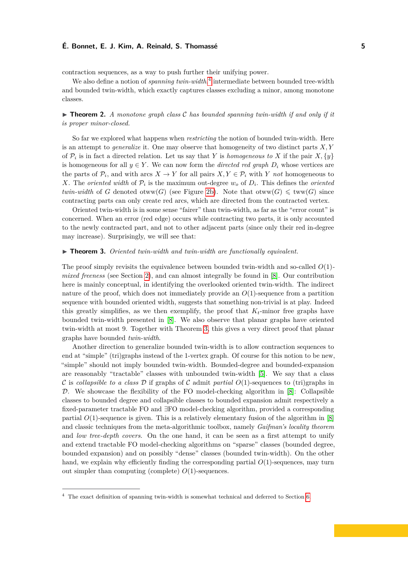contraction sequences, as a way to push further their unifying power.

We also define a notion of *spanning twin-width*,<sup>[4](#page-4-0)</sup> intermediate between bounded tree-width and bounded twin-width, which exactly captures classes excluding a minor, among monotone classes.

# $\triangleright$  **Theorem 2.** *A monotone graph class*  $\mathcal C$  *has bounded spanning twin-width if and only if it is proper minor-closed.*

So far we explored what happens when *restricting* the notion of bounded twin-width. Here is an attempt to *generalize* it. One may observe that homogeneity of two distinct parts *X, Y* of  $\mathcal{P}_i$  is in fact a directed relation. Let us say that *Y* is *homogeneous to X* if the pair  $X$ ,  $\{y\}$ is homogeneous for all  $y \in Y$ . We can now form the *directed red graph*  $D_i$  whose vertices are the parts of  $\mathcal{P}_i$ , and with arcs  $X \to Y$  for all pairs  $X, Y \in \mathcal{P}_i$  with *Y not* homogeneous to *X*. The *oriented width* of  $P_i$  is the maximum out-degree  $w_o$  of  $D_i$ . This defines the *oriented twin-width* of *G* denoted otww(*G*) (see Figure [2b\)](#page-2-0). Note that otww(*G*)  $\leq$  tww(*G*) since contracting parts can only create red arcs, which are directed from the contracted vertex.

Oriented twin-width is in some sense "fairer" than twin-width, as far as the "error count" is concerned. When an error (red edge) occurs while contracting two parts, it is only accounted to the newly contracted part, and not to other adjacent parts (since only their red in-degree may increase). Surprisingly, we will see that:

#### <span id="page-4-1"></span>▶ **Theorem 3.** *Oriented twin-width and twin-width are functionally equivalent.*

The proof simply revisits the equivalence between bounded twin-width and so-called *O*(1) *mixed freeness* (see Section [2\)](#page-5-0), and can almost integrally be found in [\[8\]](#page-24-0). Our contribution here is mainly conceptual, in identifying the overlooked oriented twin-width. The indirect nature of the proof, which does not immediately provide an  $O(1)$ -sequence from a partition sequence with bounded oriented width, suggests that something non-trivial is at play. Indeed this greatly simplifies, as we then exemplify, the proof that  $K_t$ -minor free graphs have bounded twin-width presented in [\[8\]](#page-24-0). We also observe that planar graphs have oriented twin-width at most 9. Together with Theorem [3,](#page-4-1) this gives a very direct proof that planar graphs have bounded *twin-width*.

Another direction to generalize bounded twin-width is to allow contraction sequences to end at "simple" (tri)graphs instead of the 1-vertex graph. Of course for this notion to be new, "simple" should not imply bounded twin-width. Bounded-degree and bounded-expansion are reasonably "tractable" classes with unbounded twin-width [\[5\]](#page-24-1). We say that a class C is *collapsible to a class* D if graphs of C admit *partial*  $O(1)$ -sequences to (tri)graphs in  $\mathcal{D}$ . We showcase the flexibility of the FO model-checking algorithm in [\[8\]](#page-24-0): Collapsible classes to bounded degree and collapsible classes to bounded expansion admit respectively a fixed-parameter tractable FO and ∃FO model-checking algorithm, provided a corresponding partial  $O(1)$ -sequence is given. This is a relatively elementary fusion of the algorithm in  $[8]$ and classic techniques from the meta-algorithmic toolbox, namely *Gaifman's locality theorem* and *low tree-depth covers*. On the one hand, it can be seen as a first attempt to unify and extend tractable FO model-checking algorithms on "sparse" classes (bounded degree, bounded expansion) and on possibly "dense" classes (bounded twin-width). On the other hand, we explain why efficiently finding the corresponding partial  $O(1)$ -sequences, may turn out simpler than computing (complete) *O*(1)-sequences.

<span id="page-4-0"></span><sup>4</sup> The exact definition of spanning twin-width is somewhat technical and deferred to Section [6.](#page-22-0)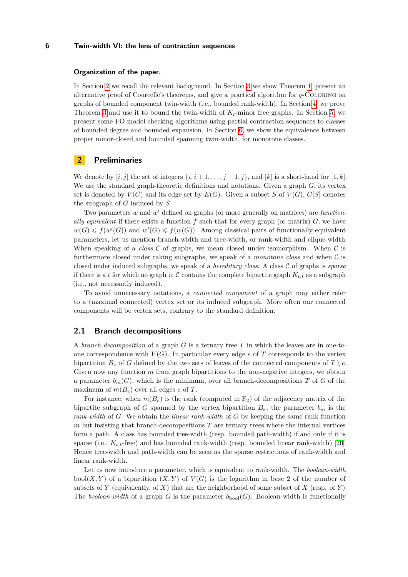#### **Organization of the paper.**

In Section [2](#page-5-0) we recall the relevant background. In Section [3](#page-10-0) we show Theorem [1,](#page-2-1) present an alternative proof of Courcelle's theorems, and give a practical algorithm for *q*-Coloring on graphs of bounded component twin-width (i.e., bounded rank-width). In Section [4,](#page-18-0) we prove Theorem [3](#page-4-1) and use it to bound the twin-width of  $K_t$ -minor free graphs. In Section [5,](#page-19-0) we present some FO model-checking algorithms using partial contraction sequences to classes of bounded degree and bounded expansion. In Section [6,](#page-22-0) we show the equivalence between proper minor-closed and bounded spanning twin-width, for monotone classes.

# <span id="page-5-0"></span>**2 Preliminaries**

We denote by  $[i, j]$  the set of integers  $\{i, i+1, \ldots, j-1, j\}$ , and  $[k]$  is a short-hand for  $[1, k]$ . We use the standard graph-theoretic definitions and notations. Given a graph *G*, its vertex set is denoted by  $V(G)$  and its edge set by  $E(G)$ . Given a subset *S* of  $V(G)$ ,  $G[S]$  denotes the subgraph of *G* induced by *S*.

Two parameters w and w' defined on graphs (or more generally on matrices) are *functionally equivalent* if there exists a function  $f$  such that for every graph (or matrix)  $G$ , we have  $w(G) \leq f(w'(G))$  and  $w'(G) \leq f(w(G))$ . Among classical pairs of functionally equivalent parameters, let us mention branch-width and tree-width, or rank-width and clique-width. When speaking of a *class*  $\mathcal C$  of graphs, we mean closed under isomorphism. When  $\mathcal C$  is furthermore closed under taking subgraphs, we speak of a *monotone class* and when C is closed under induced subgraphs, we speak of a *hereditary class*. A class C of graphs is *sparse* if there is a *t* for which no graph in C contains the complete bipartite graph  $K_{t,t}$  as a subgraph (i.e., not necessarily induced).

To avoid unnecessary notations, a *connected component* of a graph may either refer to a (maximal connected) vertex set or its induced subgraph. More often our connected components will be vertex sets, contrary to the standard definition.

# **2.1 Branch decompositions**

A *branch decomposition* of a graph *G* is a ternary tree *T* in which the leaves are in one-toone correspondence with  $V(G)$ . In particular every edge  $e$  of  $T$  corresponds to the vertex bipartition  $B_e$  of *G* defined by the two sets of leaves of the connected components of  $T \setminus e$ . Given now any function *m* from graph bipartitions to the non-negative integers, we obtain a parameter  $b_m(G)$ , which is the minimum, over all branch-decompositions *T* of *G* of the maximum of  $m(B_e)$  over all edges  $e$  of  $T$ .

For instance, when  $m(B_e)$  is the rank (computed in  $\mathbb{F}_2$ ) of the adjacency matrix of the bipartite subgraph of *G* spanned by the vertex bipartition  $B_e$ , the parameter  $b_m$  is the *rank-width* of *G*. We obtain the *linear rank-width* of *G* by keeping the same rank function *m* but insisting that branch-decompositions *T* are ternary trees where the internal vertices form a path. A class has bounded tree-width (resp. bounded path-width) if and only if it is sparse (i.e., *Kt,t*-free) and has bounded rank-width (resp. bounded linear rank-width) [\[20\]](#page-25-4). Hence tree-width and path-width can be seen as the sparse restrictions of rank-width and linear rank-width.

Let us now introduce a parameter, which is equivalent to rank-width. The *boolean-width*  $bool(X, Y)$  of a bipartition  $(X, Y)$  of  $V(G)$  is the logarithm in base 2 of the number of subsets of *Y* (equivalently, of *X*) that are the neighborhood of some subset of *X* (resp. of *Y*). The *boolean-width* of a graph *G* is the parameter  $b_{\text{bool}}(G)$ . Boolean-width is functionally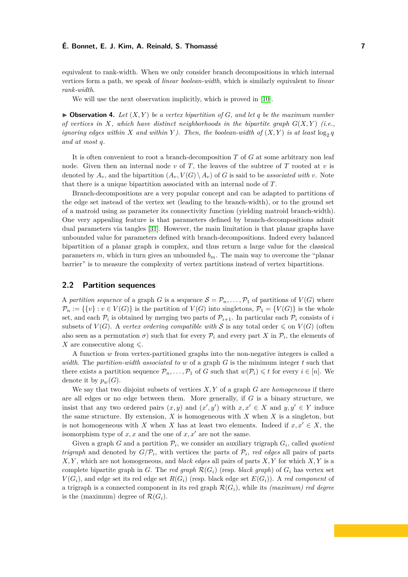equivalent to rank-width. When we only consider branch decompositions in which internal vertices form a path, we speak of *linear boolean-width*, which is similarly equivalent to *linear rank-width*.

We will use the next observation implicitly, which is proved in [\[10\]](#page-24-6).

<span id="page-6-0"></span> $\triangleright$  **Observation 4.** Let  $(X, Y)$  be a vertex bipartition of G, and let q be the maximum number *of vertices in X, which have distinct neighborhoods in the bipartite graph*  $G(X, Y)$  (*i.e.*, *ignoring edges within X and within Y ). Then, the boolean-width of*  $(X, Y)$  *is at least*  $\log_2 q$ *and at most q.*

It is often convenient to root a branch-decomposition *T* of *G* at some arbitrary non leaf node. Given then an internal node  $v$  of  $T$ , the leaves of the subtree of  $T$  rooted at  $v$  is denoted by  $A_v$ , and the bipartition  $(A_v, V(G) \setminus A_v)$  of *G* is said to be *associated with v*. Note that there is a unique bipartition associated with an internal node of *T*.

Branch-decompositions are a very popular concept and can be adapted to partitions of the edge set instead of the vertex set (leading to the branch-width), or to the ground set of a matroid using as parameter its connectivity function (yielding matroid branch-width). One very appealing feature is that parameters defined by branch-decompositions admit dual parameters via tangles [\[31\]](#page-26-0). However, the main limitation is that planar graphs have unbounded value for parameters defined with branch-decompositions. Indeed every balanced bipartition of a planar graph is complex, and thus return a large value for the classical parameters  $m$ , which in turn gives an unbounded  $b_m$ . The main way to overcome the "planar barrier" is to measure the complexity of vertex partitions instead of vertex bipartitions.

# <span id="page-6-1"></span>**2.2 Partition sequences**

A partition sequence of a graph *G* is a sequence  $S = \mathcal{P}_n, \ldots, \mathcal{P}_1$  of partitions of  $V(G)$  where  $\mathcal{P}_n := \{ \{v\} : v \in V(G) \}$  is the partition of  $V(G)$  into singletons,  $\mathcal{P}_1 = \{V(G)\}$  is the whole set, and each  $\mathcal{P}_i$  is obtained by merging two parts of  $\mathcal{P}_{i+1}$ . In particular each  $\mathcal{P}_i$  consists of *i* subsets of  $V(G)$ . A *vertex ordering compatible with* S is any total order  $\leq$  on  $V(G)$  (often also seen as a permutation  $\sigma$ ) such that for every  $\mathcal{P}_i$  and every part *X* in  $\mathcal{P}_i$ , the elements of *X* are consecutive along  $\leq$ .

A function *w* from vertex-partitioned graphs into the non-negative integers is called a *width*. The *partition-width associated to w* of a graph *G* is the minimum integer *t* such that there exists a partition sequence  $\mathcal{P}_n, \ldots, \mathcal{P}_1$  of *G* such that  $w(\mathcal{P}_i) \leq t$  for every  $i \in [n]$ . We denote it by  $p_w(G)$ .

We say that two disjoint subsets of vertices *X, Y* of a graph *G* are *homogeneous* if there are all edges or no edge between them. More generally, if *G* is a binary structure, we insist that any two ordered pairs  $(x, y)$  and  $(x', y')$  with  $x, x' \in X$  and  $y, y' \in Y$  induce the same structure. By extension, *X* is homogeneous with *X* when *X* is a singleton, but is not homogeneous with *X* when *X* has at least two elements. Indeed if  $x, x' \in X$ , the isomorphism type of  $x, x$  and the one of  $x, x'$  are not the same.

Given a graph *G* and a partition  $P_i$ , we consider an auxiliary trigraph  $G_i$ , called *quotient trigraph* and denoted by  $G/P_i$ , with vertices the parts of  $P_i$ , *red edges* all pairs of parts *X, Y* , which are not homogeneous, and *black edges* all pairs of parts *X, Y* for which *X, Y* is a complete bipartite graph in *G*. The *red graph*  $\mathcal{R}(G_i)$  (resp. *black graph*) of  $G_i$  has vertex set  $V(G_i)$ , and edge set its red edge set  $R(G_i)$  (resp. black edge set  $E(G_i)$ ). A *red component* of a trigraph is a connected component in its red graph  $\mathcal{R}(G_i)$ , while its *(maximum) red degree* is the (maximum) degree of  $\mathcal{R}(G_i)$ .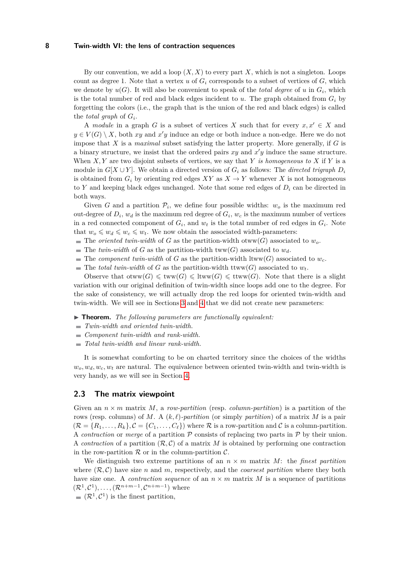By our convention, we add a loop  $(X, X)$  to every part X, which is not a singleton. Loops count as degree 1. Note that a vertex  $u$  of  $G_i$  corresponds to a subset of vertices of  $G$ , which we denote by  $u(G)$ . It will also be convenient to speak of the *total degree* of  $u$  in  $G_i$ , which is the total number of red and black edges incident to  $u$ . The graph obtained from  $G_i$  by forgetting the colors (i.e., the graph that is the union of the red and black edges) is called the *total graph* of *G<sup>i</sup>* .

A *module* in a graph *G* is a subset of vertices *X* such that for every  $x, x' \in X$  and  $y \in V(G) \setminus X$ , both *xy* and *x'y* induce an edge or both induce a non-edge. Here we do not impose that *X* is a *maximal* subset satisfying the latter property. More generally, if *G* is a binary structure, we insist that the ordered pairs  $xy$  and  $x'y$  induce the same structure. When *X, Y* are two disjoint subsets of vertices, we say that *Y is homogeneous to X* if *Y* is a module in  $G[X \cup Y]$ . We obtain a directed version of  $G_i$  as follows: The *directed trigraph*  $D_i$ is obtained from  $G_i$  by orienting red edges  $XY$  as  $X \to Y$  whenever X is not homogeneous to *Y* and keeping black edges unchanged. Note that some red edges of  $D_i$  can be directed in both ways.

Given *G* and a partition  $\mathcal{P}_i$ , we define four possible widths:  $w_o$  is the maximum red out-degree of  $D_i$ ,  $w_d$  is the maximum red degree of  $G_i$ ,  $w_c$  is the maximum number of vertices in a red connected component of  $G_i$ , and  $w_t$  is the total number of red edges in  $G_i$ . Note that  $w_o \leqslant w_d \leqslant w_c \leqslant w_t$ . We now obtain the associated width-parameters:

- $\blacksquare$  The *oriented twin-width* of *G* as the partition-width otww(*G*) associated to *w*<sub>o</sub>.
- $\blacksquare$  The *twin-width* of *G* as the partition-width tww(*G*) associated to  $w_d$ .
- The *component twin-width* of *G* as the partition-width ltww(*G*) associated to  $w_c$ .
- $\blacksquare$  The *total twin-width* of *G* as the partition-width ttww(*G*) associated to  $w_t$ .

Observe that  $otww(G) \leqslant tww(G) \leqslant tww(G) \leqslant tww(G)$ . Note that there is a slight variation with our original definition of twin-width since loops add one to the degree. For the sake of consistency, we will actually drop the red loops for oriented twin-width and twin-width. We will see in Sections [3](#page-10-0) and [4](#page-18-0) that we did not create new parameters:

- ▶ **Theorem.** *The following parameters are functionally equivalent:*
- *Twin-width and oriented twin-width.*
- *Component twin-width and rank-width.*
- *Total twin-width and linear rank-width.*

It is somewhat comforting to be on charted territory since the choices of the widths  $w_o, w_d, w_c, w_t$  are natural. The equivalence between oriented twin-width and twin-width is very handy, as we will see in Section [4.](#page-18-0)

## **2.3 The matrix viewpoint**

Given an  $n \times m$  matrix M, a *row-partition* (resp. *column-partition*) is a partition of the rows (resp. columns) of *M*. A (*k, ℓ*)*-partition* (or simply *partition*) of a matrix *M* is a pair  $(\mathcal{R} = \{R_1, \ldots, R_k\}, \mathcal{C} = \{C_1, \ldots, C_\ell\})$  where  $\mathcal{R}$  is a row-partition and  $\mathcal{C}$  is a column-partition. A *contraction* or *merge* of a partition  $P$  consists of replacing two parts in  $P$  by their union. A *contraction* of a partition  $(\mathcal{R}, \mathcal{C})$  of a matrix M is obtained by performing one contraction in the row-partition  $R$  or in the column-partition  $C$ .

We distinguish two extreme partitions of an  $n \times m$  matrix M: the *finest partition* where  $(\mathcal{R}, \mathcal{C})$  have size *n* and *m*, respectively, and the *coarsest partition* where they both have size one. A *contraction sequence* of an  $n \times m$  matrix M is a sequence of partitions  $(\mathcal{R}^1, \mathcal{C}^1), \ldots, (\mathcal{R}^{n+m-1}, \mathcal{C}^{n+m-1})$  where

 $(\mathcal{R}^1, \mathcal{C}^1)$  is the finest partition,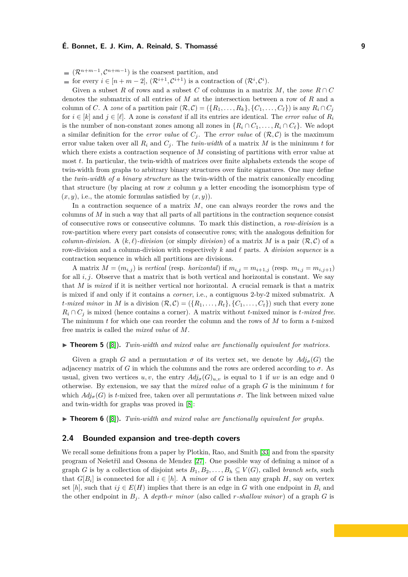$(\mathcal{R}^{n+m-1}, \mathcal{C}^{n+m-1})$  is the coarsest partition, and

for every  $i \in [n+m-2], (\mathcal{R}^{i+1}, \mathcal{C}^{i+1})$  is a contraction of  $(\mathcal{R}^i, \mathcal{C}^i)$ .

Given a subset R of rows and a subset C of columns in a matrix M, the zone  $R \cap C$ denotes the submatrix of all entries of *M* at the intersection between a row of *R* and a column of *C*. A *zone* of a partition pair  $(\mathcal{R}, \mathcal{C}) = (\{R_1, \ldots, R_k\}, \{C_1, \ldots, C_\ell\})$  is any  $R_i \cap C_j$ for  $i \in [k]$  and  $j \in [\ell]$ . A zone is *constant* if all its entries are identical. The *error value* of  $R_i$ is the number of non-constant zones among all zones in  $\{R_i \cap C_1, \ldots, R_i \cap C_\ell\}$ . We adopt a similar definition for the *error value* of  $C_j$ . The *error value* of  $(\mathcal{R}, \mathcal{C})$  is the maximum error value taken over all  $R_i$  and  $C_j$ . The *twin-width* of a matrix  $M$  is the minimum  $t$  for which there exists a contraction sequence of *M* consisting of partitions with error value at most *t*. In particular, the twin-width of matrices over finite alphabets extends the scope of twin-width from graphs to arbitrary binary structures over finite signatures. One may define the *twin-width of a binary structure* as the twin-width of the matrix canonically encoding that structure (by placing at row *x* column *y* a letter encoding the isomorphism type of  $(x, y)$ , i.e., the atomic formulas satisfied by  $(x, y)$ ).

In a contraction sequence of a matrix *M*, one can always reorder the rows and the columns of *M* in such a way that all parts of all partitions in the contraction sequence consist of consecutive rows or consecutive columns. To mark this distinction, a *row-division* is a row-partition where every part consists of consecutive rows; with the analogous definition for *column-division.* A  $(k, \ell)$ -division (or simply *division*) of a matrix *M* is a pair  $(\mathcal{R}, \mathcal{C})$  of a row-division and a column-division with respectively *k* and *ℓ* parts. A *division sequence* is a contraction sequence in which all partitions are divisions.

A matrix  $M = (m_{i,j})$  is *vertical* (resp. *horizontal*) if  $m_{i,j} = m_{i+1,j}$  (resp.  $m_{i,j} = m_{i,j+1}$ ) for all *i, j*. Observe that a matrix that is both vertical and horizontal is constant. We say that *M* is *mixed* if it is neither vertical nor horizontal. A crucial remark is that a matrix is mixed if and only if it contains a *corner*, i.e., a contiguous 2-by-2 mixed submatrix. A *t-mixed minor* in *M* is a division  $(\mathcal{R}, \mathcal{C}) = (\{R_1, \ldots, R_t\}, \{C_1, \ldots, C_t\})$  such that every zone  $R_i \cap C_j$  is mixed (hence contains a corner). A matrix without *t*-mixed minor is *t-mixed free.* The minimum *t* for which one can reorder the column and the rows of *M* to form a *t*-mixed free matrix is called the *mixed value* of *M*.

#### ▶ **Theorem 5** ([\[8\]](#page-24-0)). *Twin-width and mixed value are functionally equivalent for matrices.*

Given a graph *G* and a permutation  $\sigma$  of its vertex set, we denote by  $Adj_{\sigma}(G)$  the adjacency matrix of *G* in which the columns and the rows are ordered according to  $\sigma$ . As usual, given two vertices *u*, *v*, the entry  $Adj_{\sigma}(G)_{u,v}$  is equal to 1 if *uv* is an edge and 0 otherwise. By extension, we say that the *mixed value* of a graph *G* is the minimum *t* for which  $Adj_{\sigma}(G)$  is *t*-mixed free, taken over all permutations  $\sigma$ . The link between mixed value and twin-width for graphs was proved in [\[8\]](#page-24-0):

<span id="page-8-0"></span>▶ **Theorem 6** ([\[8\]](#page-24-0))**.** *Twin-width and mixed value are functionally equivalent for graphs.*

## <span id="page-8-1"></span>**2.4 Bounded expansion and tree-depth covers**

We recall some definitions from a paper by Plotkin, Rao, and Smith [\[33\]](#page-26-1) and from the sparsity program of Nešetřil and Ossona de Mendez [\[27\]](#page-26-2). One possible way of defining a minor of a graph *G* is by a collection of disjoint sets  $B_1, B_2, \ldots, B_h \subseteq V(G)$ , called *branch sets*, such that  $G[B_i]$  is connected for all  $i \in [h]$ . A *minor* of G is then any graph H, say on vertex set [h], such that  $ij \in E(H)$  implies that there is an edge in *G* with one endpoint in  $B_i$  and the other endpoint in  $B_i$ . A *depth-r* minor (also called *r*-shallow minor) of a graph G is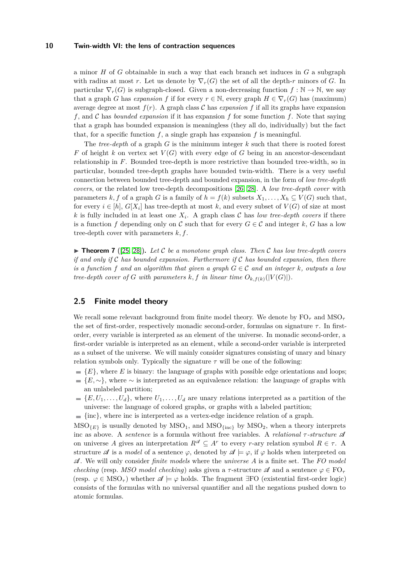a minor *H* of *G* obtainable in such a way that each branch set induces in *G* a subgraph with radius at most *r*. Let us denote by  $\nabla_r(G)$  the set of all the depth-*r* minors of *G*. In particular  $\nabla_r(G)$  is subgraph-closed. Given a non-decreasing function  $f : \mathbb{N} \to \mathbb{N}$ , we say that a graph *G* has *expansion f* if for every  $r \in \mathbb{N}$ , every graph  $H \in \nabla_r(G)$  has (maximum) average degree at most  $f(r)$ . A graph class C has *expansion* f if all its graphs have expansion *f*, and C has *bounded expansion* if it has expansion *f* for some function *f*. Note that saying that a graph has bounded expansion is meaningless (they all do, individually) but the fact that, for a specific function  $f$ , a single graph has expansion  $f$  is meaningful.

The *tree-depth* of a graph *G* is the minimum integer *k* such that there is rooted forest *F* of height *k* on vertex set  $V(G)$  with every edge of *G* being in an ancestor-descendant relationship in *F*. Bounded tree-depth is more restrictive than bounded tree-width, so in particular, bounded tree-depth graphs have bounded twin-width. There is a very useful connection between bounded tree-depth and bounded expansion, in the form of *low tree-depth covers*, or the related low tree-depth decompositions [\[26,](#page-25-5) [28\]](#page-26-3). A *low tree-depth cover* with parameters  $k, f$  of a graph *G* is a family of  $h = f(k)$  subsets  $X_1, \ldots, X_h \subseteq V(G)$  such that, for every  $i \in [h]$ ,  $G[X_i]$  has tree-depth at most k, and every subset of  $V(G)$  of size at most k is fully included in at least one  $X_i$ . A graph class C has *low tree-depth covers* if there is a function *f* depending only on C such that for every  $G \in \mathcal{C}$  and integer k, G has a low tree-depth cover with parameters *k, f*.

<span id="page-9-0"></span> $\triangleright$  **Theorem 7** ([\[25,](#page-25-6) [28\]](#page-26-3)). Let C be a monotone graph class. Then C has low tree-depth covers *if and only if* C *has bounded expansion. Furthermore if* C *has bounded expansion, then there is a function f* and an algorithm that given a graph  $G \in \mathcal{C}$  and an integer *k*, outputs a low *tree-depth cover of G with parameters*  $k, f$  *in linear time*  $O_{k, f(k)}(|V(G)|)$ *.* 

# **2.5 Finite model theory**

We recall some relevant background from finite model theory. We denote by FO*<sup>τ</sup>* and MSO*<sup>τ</sup>* the set of first-order, respectively monadic second-order, formulas on signature *τ* . In firstorder, every variable is interpreted as an element of the universe. In monadic second-order, a first-order variable is interpreted as an element, while a second-order variable is interpreted as a subset of the universe. We will mainly consider signatures consisting of unary and binary relation symbols only. Typically the signature  $\tau$  will be one of the following:

- ${E}$ , where *E* is binary: the language of graphs with possible edge orientations and loops;
- ${E, \sim}$ , where  $\sim$  is interpreted as an equivalence relation: the language of graphs with an unlabeled partition;
- ${E, U_1, \ldots, U_d}$ , where  $U_1, \ldots, U_d$  are unary relations interpreted as a partition of the universe: the language of colored graphs, or graphs with a labeled partition;
- $\equiv \{\text{inc}\},\$  where inc is interpreted as a vertex-edge incidence relation of a graph.

 $MSO_{{E}}$  is usually denoted by  $MSO_1$ , and  $MSO_{\text{frac}}$  by  $MSO_2$ , when a theory interprets inc as above. A *sentence* is a formula without free variables. A *relational τ -structure* A on universe *A* gives an interpretation  $R^{\mathscr{A}} \subseteq A^r$  to every *r*-ary relation symbol  $R \in \tau$ . A structure  $\mathscr A$  is a *model* of a sentence  $\varphi$ , denoted by  $\mathscr A \models \varphi$ , if  $\varphi$  holds when interpreted on A. We will only consider *finite models* where the *universe A* is a finite set. The *FO model checking* (resp. *MSO model checking*) asks given a  $\tau$ -structure  $\mathscr A$  and a sentence  $\varphi \in \mathrm{FO}_\tau$ (resp.  $\varphi \in \text{MSO}_\tau$ ) whether  $\mathscr{A} \models \varphi$  holds. The fragment ∃FO (existential first-order logic) consists of the formulas with no universal quantifier and all the negations pushed down to atomic formulas.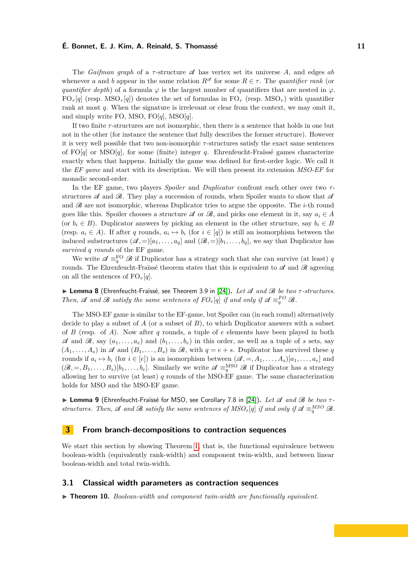The *Gaifman graph* of a *τ* -structure A has vertex set its universe *A*, and edges *ab* whenever *a* and *b* appear in the same relation  $R^{\mathscr{A}}$  for some  $R \in \tau$ . The *quantifier rank* (or *quantifier depth*) of a formula  $\varphi$  is the largest number of quantifiers that are nested in  $\varphi$ .  $FO_{\tau}[q]$  (resp. MSO<sub>*τ*</sub>[*q*]) denotes the set of formulas in  $FO_{\tau}$  (resp. MSO<sub>*τ*</sub>) with quantifier rank at most *q*. When the signature is irrelevant or clear from the context, we may omit it, and simply write FO, MSO, FO[*q*], MSO[*q*].

If two finite *τ* -structures are not isomorphic, then there is a sentence that holds in one but not in the other (for instance the sentence that fully describes the former structure). However it is very well possible that two non-isomorphic *τ* -structures satisfy the exact same sentences of FO[*q*] or MSO[*q*], for some (finite) integer *q*. Ehrenfeucht-Fraïssé games characterize exactly when that happens. Initially the game was defined for first-order logic. We call it the *EF game* and start with its description. We will then present its extension *MSO-EF* for monadic second-order.

In the EF game, two players *Spoiler* and *Duplicator* confront each other over two *τ* structures  $\mathscr A$  and  $\mathscr B$ . They play a succession of rounds, when Spoiler wants to show that  $\mathscr A$ and  $\mathscr B$  are not isomorphic, whereas Duplicator tries to argue the opposite. The *i*-th round goes like this. Spoiler chooses a structure  $\mathscr A$  or  $\mathscr B$ , and picks one element in it, say  $a_i \in A$ (or  $b_i \in B$ ). Duplicator answers by picking an element in the other structure, say  $b_i \in B$ (resp.  $a_i \in A$ ). If after *q* rounds,  $a_i \mapsto b_i$  (for  $i \in [q]$ ) is still an isomorphism between the induced substructures  $(\mathcal{A}, =)[a_1, \ldots, a_q]$  and  $(\mathcal{B}, =)[b_1, \ldots, b_q]$ , we say that Duplicator has *survived q rounds* of the EF game.

We write  $\mathscr{A} \equiv_q^{\text{FO}} \mathscr{B}$  if Duplicator has a strategy such that she can survive (at least) *q* rounds. The Ehrenfeucht-Fraïssé theorem states that this is equivalent to  $\mathscr A$  and  $\mathscr B$  agreeing on all the sentences of  $FO_\tau[q]$ .

▶ **Lemma 8** (Ehrenfeucht-Fraïssé, see Theorem 3.9 in [\[24\]](#page-25-7))**.** *Let* A *and* B *be two τ -structures. Then,*  $\mathscr A$  *and*  $\mathscr B$  *satisfy the same sentences of*  $FO_{\tau}[q]$  *if and only if*  $\mathscr A \equiv_q^{FO} \mathscr B$ *.* 

The MSO-EF game is similar to the EF-game, but Spoiler can (in each round) alternatively decide to play a subset of  $A$  (or a subset of  $B$ ), to which Duplicator answers with a subset of *B* (resp. of *A*). Now after *q* rounds, a tuple of *e* elements have been played in both  $\mathscr A$  and  $\mathscr B$ , say  $(a_1, \ldots, a_e)$  and  $(b_1, \ldots, b_e)$  in this order, as well as a tuple of *s* sets, say  $(A_1, \ldots, A_s)$  in  $\mathscr A$  and  $(B_1, \ldots, B_s)$  in  $\mathscr B$ , with  $q = e + s$ . Duplicator has survived these q rounds if  $a_i \mapsto b_i$  (for  $i \in [e]$ ) is an isomorphism between  $(\mathscr{A}, =, A_1, \ldots, A_s)[a_1, \ldots, a_e]$  and  $(\mathscr{B}, =, B_1, \ldots, B_s)[b_1, \ldots, b_e]$ . Similarly we write  $\mathscr{A} \equiv_q^{\text{MSO}} \mathscr{B}$  if Duplicator has a strategy allowing her to survive (at least) *q* rounds of the MSO-EF game. The same characterization holds for MSO and the MSO-EF game.

<span id="page-10-2"></span>▶ **Lemma 9** (Ehrenfeucht-Fraïssé for MSO, see Corollary 7.8 in [\[24\]](#page-25-7))**.** *Let* A *and* B *be two τ structures. Then,*  $\mathscr A$  *and*  $\mathscr B$  *satisfy the same sentences of*  $MSO_\tau[q]$  *if and only if*  $\mathscr A \equiv_q^{MSO} \mathscr B$ *.* 

# <span id="page-10-0"></span>**3 From branch-decompositions to contraction sequences**

We start this section by showing Theorem [1,](#page-2-1) that is, the functional equivalence between boolean-width (equivalently rank-width) and component twin-width, and between linear boolean-width and total twin-width.

#### **3.1 Classical width parameters as contraction sequences**

<span id="page-10-1"></span>▶ **Theorem 10.** *Boolean-width and component twin-width are functionally equivalent.*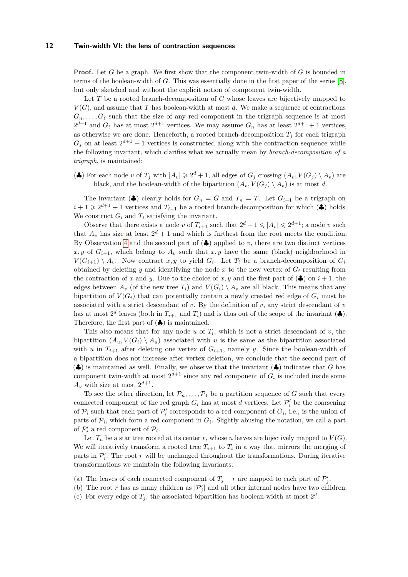**Proof.** Let *G* be a graph. We first show that the component twin-width of *G* is bounded in terms of the boolean-width of *G*. This was essentially done in the first paper of the series [\[8\]](#page-24-0), but only sketched and without the explicit notion of component twin-width.

Let *T* be a rooted branch-decomposition of *G* whose leaves are bijectively mapped to  $V(G)$ , and assume that *T* has boolean-width at most *d*. We make a sequence of contractions  $G_n, \ldots, G_\ell$  such that the size of any red component in the trigraph sequence is at most  $2^{d+1}$  and  $G_{\ell}$  has at most  $2^{d+1}$  vertices. We may assume  $G_n$  has at least  $2^{d+1} + 1$  vertices, as otherwise we are done. Henceforth, a rooted branch-decomposition  $T_j$  for each trigraph  $G_j$  on at least  $2^{d+1} + 1$  vertices is constructed along with the contraction sequence while the following invariant, which clarifies what we actually mean by *branch-decomposition of a trigraph*, is maintained:

(4) For each node *v* of  $T_j$  with  $|A_v| \geq 2^d + 1$ , all edges of  $G_j$  crossing  $(A_v, V(G_j) \setminus A_v)$  are black, and the boolean-width of the bipartition  $(A_v, V(G_i) \setminus A_v)$  is at most *d*.

The invariant ( $\clubsuit$ ) clearly holds for  $G_n = G$  and  $T_n = T$ . Let  $G_{i+1}$  be a trigraph on  $i+1 \geq 2^{d+1}+1$  vertices and  $T_{i+1}$  be a rooted branch-decomposition for which  $(\clubsuit)$  holds. We construct  $G_i$  and  $T_i$  satisfying the invariant.

Observe that there exists a node *v* of  $T_{i+1}$  such that  $2^d + 1 \leq |A_v| \leq 2^{d+1}$ ; a node *v* such that  $A_v$  has size at least  $2^d + 1$  and which is furthest from the root meets the condition. By Observation [4](#page-6-0) and the second part of  $(\clubsuit)$  applied to *v*, there are two distinct vertices  $x, y$  of  $G_{i+1}$ , which belong to  $A_y$  such that  $x, y$  have the same (black) neighborhood in  $V(G_{i+1}) \setminus A_v$ . Now contract *x, y* to yield  $G_i$ . Let  $T_i$  be a branch-decomposition of  $G_i$ obtained by deleting *y* and identifying the node *x* to the new vertex of  $G_i$  resulting from the contraction of *x* and *y*. Due to the choice of *x*, *y* and the first part of ( $\clubsuit$ ) on *i* + 1, the edges between  $A_v$  (of the new tree  $T_i$ ) and  $V(G_i) \setminus A_v$  are all black. This means that any bipartition of  $V(G_i)$  that can potentially contain a newly created red edge of  $G_i$  must be associated with a strict descendant of *v*. By the definition of *v*, any strict descendant of *v* has at most  $2^d$  leaves (both in  $T_{i+1}$  and  $T_i$ ) and is thus out of the scope of the invariant  $(\clubsuit)$ . Therefore, the first part of  $(\clubsuit)$  is maintained.

This also means that for any node  $u$  of  $T_i$ , which is not a strict descendant of  $v$ , the bipartition  $(A_u, V(G_i) \setminus A_u)$  associated with *u* is the same as the bipartition associated with *u* in  $T_{i+1}$  after deleting one vertex of  $G_{i+1}$ , namely *y*. Since the boolean-width of a bipartition does not increase after vertex deletion, we conclude that the second part of (♣) is maintained as well. Finally, we observe that the invariant (♣) indicates that *G* has component twin-width at most  $2^{d+1}$  since any red component of  $G_i$  is included inside some  $A_v$  with size at most  $2^{d+1}$ .

To see the other direction, let  $\mathcal{P}_n, \ldots, \mathcal{P}_1$  be a partition sequence of *G* such that every connected component of the red graph  $G_i$  has at most *d* vertices. Let  $\mathcal{P}'_i$  be the coarsening of  $\mathcal{P}_i$  such that each part of  $\mathcal{P}'_i$  corresponds to a red component of  $G_i$ , i.e., is the union of parts of  $\mathcal{P}_i$ , which form a red component in  $G_i$ . Slightly abusing the notation, we call a part of  $\mathcal{P}'_i$  a red component of  $\mathcal{P}_i$ .

Let  $T_n$  be a star tree rooted at its center r, whose *n* leaves are bijectively mapped to  $V(G)$ . We will iteratively transform a rooted tree  $T_{i+1}$  to  $T_i$  in a way that mirrors the merging of parts in  $\mathcal{P}'_i$ . The root *r* will be unchanged throughout the transformations. During iterative transformations we maintain the following invariants:

- (a) The leaves of each connected component of  $T_j r$  are mapped to each part of  $\mathcal{P}'_j$ .
- (b) The root *r* has as many children as  $|\mathcal{P}'_j|$  and all other internal nodes have two children.
- (c) For every edge of  $T_j$ , the associated bipartition has boolean-width at most  $2^d$ .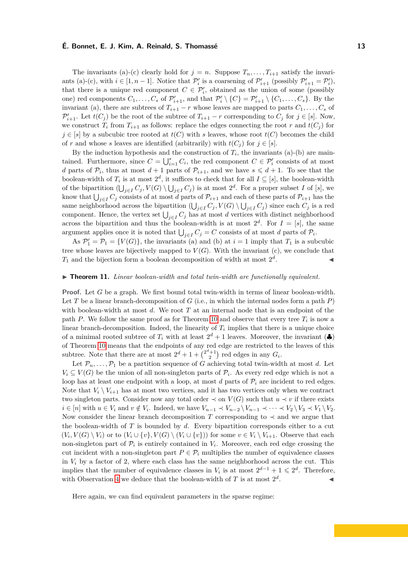The invariants (a)-(c) clearly hold for  $j = n$ . Suppose  $T_n, \ldots, T_{i+1}$  satisfy the invariants (a)-(c), with  $i \in [1, n-1]$ . Notice that  $\mathcal{P}'_i$  is a coarsening of  $\mathcal{P}'_{i+1}$  (possibly  $\mathcal{P}'_{i+1} = \mathcal{P}'_i$ ), that there is a unique red component  $C \in \mathcal{P}'_i$ , obtained as the union of some (possibly one) red components  $C_1, \ldots, C_s$  of  $\mathcal{P}'_{i+1}$ , and that  $\mathcal{P}'_i \setminus \{C\} = \mathcal{P}'_{i+1} \setminus \{C_1, \ldots, C_s\}$ . By the invariant (a), there are subtrees of  $T_{i+1} - r$  whose leaves are mapped to parts  $C_1, \ldots, C_s$  of  $\mathcal{P}'_{i+1}$ . Let  $t(C_j)$  be the root of the subtree of  $T_{i+1} - r$  corresponding to  $C_j$  for  $j \in [s]$ . Now, we construct  $T_i$  from  $T_{i+1}$  as follows: replace the edges connecting the root *r* and  $t(C_i)$  for *j* ∈ [*s*] by a subcubic tree rooted at *t*(*C*) with *s* leaves, whose root *t*(*C*) becomes the child of *r* and whose *s* leaves are identified (arbitrarily) with  $t(C_i)$  for  $j \in [s]$ .

By the induction hypothesis and the construction of  $T_i$ , the invariants (a)-(b) are maintained. Furthermore, since  $C = \bigcup_{i=1}^{s} C_i$ , the red component  $C \in \mathcal{P}'_i$  consists of at most *d* parts of  $\mathcal{P}_i$ , thus at most  $d+1$  parts of  $\mathcal{P}_{i+1}$ , and we have  $s \leq d+1$ . To see that the boolean-width of  $T_i$  is at most  $2^d$ , it suffices to check that for all  $I \subseteq [s]$ , the boolean-width of the bipartition  $(\bigcup_{j\in I} C_j, V(G) \setminus \bigcup_{j\in I} C_j)$  is at most  $2^d$ . For a proper subset *I* of [*s*], we know that  $\bigcup_{j\in I} C_j$  consists of at most *d* parts of  $\mathcal{P}_{i+1}$  and each of these parts of  $\mathcal{P}_{i+1}$  has the same neighborhood across the bipartition  $(\bigcup_{j\in I} C_j, V(G) \setminus \bigcup_{j\in I} C_j)$  since each  $C_j$  is a red component. Hence, the vertex set  $\bigcup_{j\in I} C_j$  has at most *d* vertices with distinct neighborhood across the bipartition and thus the boolean-width is at most  $2^d$ . For  $I = [s]$ , the same argument applies once it is noted that  $\bigcup_{j\in I} C_j = C$  consists of at most *d* parts of  $\mathcal{P}_i$ .

As  $\mathcal{P}'_1 = \mathcal{P}_1 = \{V(G)\}\$ , the invariants (a) and (b) at  $i = 1$  imply that  $T_1$  is a subcubic tree whose leaves are bijectively mapped to  $V(G)$ . With the invariant (c), we conclude that  $T_1$  and the bijection form a boolean decomposition of width at most  $2^d$ . ◀

#### ▶ **Theorem 11.** *Linear boolean-width and total twin-width are functionally equivalent.*

**Proof.** Let *G* be a graph. We first bound total twin-width in terms of linear boolean-width. Let *T* be a linear branch-decomposition of *G* (i.e., in which the internal nodes form a path *P*) with boolean-width at most *d*. We root *T* at an internal node that is an endpoint of the path *P*. We follow the same proof as for Theorem [10](#page-10-1) and observe that every tree  $T_i$  is now a linear branch-decomposition. Indeed, the linearity of  $T_i$  implies that there is a unique choice of a minimal rooted subtree of  $T_i$  with at least  $2^d + 1$  leaves. Moreover, the invariant  $\left(\clubsuit\right)$ of Theorem [10](#page-10-1) means that the endpoints of any red edge are restricted to the leaves of this subtree. Note that there are at most  $2^d + 1 + \binom{2^d + 1}{2}$  red edges in any  $G_i$ .

Let  $\mathcal{P}_n, \ldots, \mathcal{P}_1$  be a partition sequence of *G* achieving total twin-width at most *d*. Let  $V_i \subseteq V(G)$  be the union of all non-singleton parts of  $\mathcal{P}_i$ . As every red edge which is not a loop has at least one endpoint with a loop, at most  $d$  parts of  $\mathcal{P}_i$  are incident to red edges. Note that  $V_i \setminus V_{i+1}$  has at most two vertices, and it has two vertices only when we contract two singleton parts. Consider now any total order  $\prec$  on  $V(G)$  such that  $u \prec v$  if there exists  $i \in [n]$  with  $u \in V_i$  and  $v \notin V_i$ . Indeed, we have  $V_{n-1} \prec V_{n-2} \setminus V_{n-1} \prec \cdots \prec V_2 \setminus V_3 \prec V_1 \setminus V_2$ . Now consider the linear branch decomposition *T* corresponding to  $\prec$  and we argue that the boolean-width of *T* is bounded by *d*. Every bipartition corresponds either to a cut  $(V_i, V(G) \setminus V_i)$  or to  $(V_i \cup \{v\}, V(G) \setminus (V_i \cup \{v\}))$  for some  $v \in V_i \setminus V_{i+1}$ . Observe that each non-singleton part of  $\mathcal{P}_i$  is entirely contained in  $V_i$ . Moreover, each red edge crossing the cut incident with a non-singleton part  $P \in \mathcal{P}_i$  multiplies the number of equivalence classes in  $V_i$  by a factor of 2, where each class has the same neighborhood across the cut. This implies that the number of equivalence classes in  $V_i$  is at most  $2^{d-1} + 1 \leq 2^d$ . Therefore, with Observation [4](#page-6-0) we deduce that the boolean-width of  $T$  is at most  $2^d$ . ◀

Here again, we can find equivalent parameters in the sparse regime: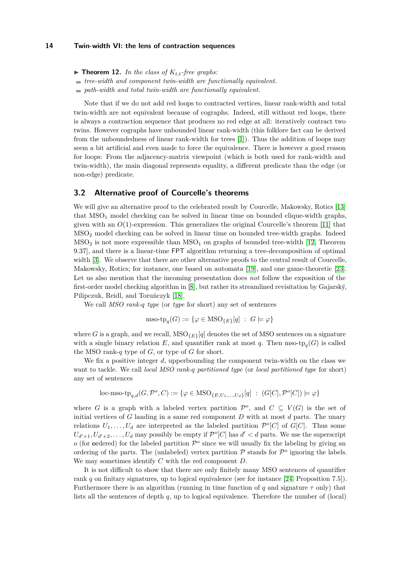- $\triangleright$  **Theorem 12.** *In the class of*  $K_{t,t}$ -free graphs:
- *tree-width and component twin-width are functionally equivalent.*
- *path-width and total twin-width are functionally equivalent.*

Note that if we do not add red loops to contracted vertices, linear rank-width and total twin-width are not equivalent because of cographs. Indeed, still without red loops, there is always a contraction sequence that produces no red edge at all: iteratively contract two twins. However cographs have unbounded linear rank-width (this folklore fact can be derived from the unboundedness of linear rank-width for trees [\[1\]](#page-24-7)). Thus the addition of loops may seem a bit artificial and even made to force the equivalence. There is however a good reason for loops: From the adjacency-matrix viewpoint (which is both used for rank-width and twin-width), the main diagonal represents equality, a different predicate than the edge (or non-edge) predicate.

# <span id="page-13-0"></span>**3.2 Alternative proof of Courcelle's theorems**

We will give an alternative proof to the celebrated result by Courcelle, Makowsky, Rotics [\[13\]](#page-25-0) that  $MSO<sub>1</sub>$  model checking can be solved in linear time on bounded clique-width graphs, given with an  $O(1)$ -expression. This generalizes the original Courcelle's theorem [\[11\]](#page-25-8) that MSO<sup>2</sup> model checking can be solved in linear time on bounded tree-width graphs. Indeed  $MSO<sub>2</sub>$  is not more expressible than  $MSO<sub>1</sub>$  on graphs of bounded tree-width [\[12,](#page-25-9) Theorem 9.37], and there is a linear-time FPT algorithm returning a tree-decomposition of optimal width [\[3\]](#page-24-8). We observe that there are other alternative proofs to the central result of Courcelle, Makowsky, Rotics; for instance, one based on automata [\[19\]](#page-25-10), and one game-theoretic [\[23\]](#page-25-11). Let us also mention that the incoming presentation does *not* follow the exposition of the first-order model checking algorithm in [\[8\]](#page-24-0), but rather its streamlined revisitation by Gajarský, Pilipczuk, Reidl, and Toruńczyk [\[18\]](#page-25-12).

We call *MSO rank-q type* (or *type* for short) any set of sentences

$$
\text{mso-top}_q(G) := \{ \varphi \in \text{MSO}_{\{E\}}[q] \ : \ G \models \varphi \}
$$

where *G* is a graph, and we recall,  $MSO_{E}[\tilde{q}]$  denotes the set of MSO sentences on a signature with a single binary relation  $E$ , and quantifier rank at most  $q$ . Then mso-tp<sub>q</sub>( $G$ ) is called the MSO rank-*q* type of *G*, or type of *G* for short.

We fix a positive integer *d*, upperbounding the component twin-width on the class we want to tackle. We call *local MSO rank-q partitioned type* (or *local partitioned type* for short) any set of sentences

$$
\text{loc-mso-top}_{q,d}(G, \mathcal{P}^o, C) := \{ \varphi \in \text{MSO}_{\{E, U_1, \dots, U_d\}}[q] \; : \; (G[C], \mathcal{P}^o[C]) \models \varphi \}
$$

where *G* is a graph with a labeled vertex partition  $\mathcal{P}^o$ , and  $C \subseteq V(G)$  is the set of initial vertices of *G* landing in a same red component *D* with at most *d* parts. The unary relations  $U_1, \ldots, U_d$  are interpreted as the labeled partition  $\mathcal{P}^o[C]$  of  $G[C]$ . Thus some  $U_{d'+1}, U_{d'+2}, \ldots, U_d$  may possibly be empty if  $\mathcal{P}^o[C]$  has  $d' < d$  parts. We use the superscript *o* (for **o**rdered) for the labeled partition  $\mathcal{P}^o$  since we will usually fix the labeling by giving an ordering of the parts. The (unlabeled) vertex partition  $P$  stands for  $P<sup>o</sup>$  ignoring the labels. We may sometimes identify *C* with the red component *D*.

It is not difficult to show that there are only finitely many MSO sentences of quantifier rank *q* on finitary signatures, up to logical equivalence (see for instance [\[24,](#page-25-7) Proposition 7.5]). Furthermore there is an algorithm (running in time function of  $q$  and signature  $\tau$  only) that lists all the sentences of depth *q*, up to logical equivalence. Therefore the number of (local)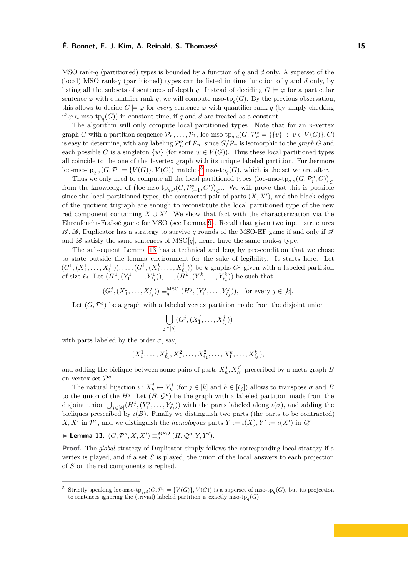MSO rank-*q* (partitioned) types is bounded by a function of *q* and *d* only. A superset of the (local) MSO rank-*q* (partitioned) types can be listed in time function of *q* and *d* only, by listing all the subsets of sentences of depth *q*. Instead of deciding  $G \models \varphi$  for a particular sentence  $\varphi$  with quantifier rank *q*, we will compute mso-t $p_q(G)$ . By the previous observation, this allows to decide  $G \models \varphi$  for *every* sentence  $\varphi$  with quantifier rank *q* (by simply checking if  $\varphi \in \text{mso-top}_q(G)$  in constant time, if *q* and *d* are treated as a constant.

The algorithm will only compute local partitioned types. Note that for an *n*-vertex graph *G* with a partition sequence  $\mathcal{P}_n, \ldots, \mathcal{P}_1$ , loc-mso-tp<sub>q,d</sub> $(G, \mathcal{P}_n^o = {\{v\} : v \in V(G)\}, C)$ is easy to determine, with any labeling  $\mathcal{P}_n^o$  of  $\mathcal{P}_n$ , since  $G/\mathcal{P}_n$  is isomorphic to the *graph G* and each possible *C* is a singleton  $\{w\}$  (for some  $w \in V(G)$ ). Thus these local partitioned types all coincide to the one of the 1-vertex graph with its unique labeled partition. Furthermore loc-mso-tp<sub>q,d</sub> $(G, \mathcal{P}_1 = \{V(G)\}, V(G))$  matches<sup>[5](#page-14-0)</sup> mso-tp<sub>q</sub> $(G)$ , which is the set we are after.

Thus we only need to compute all the local partitioned types  $\left(\text{loc-mso-tp}_{q,d}(G,\mathcal{P}^o_i,C)\right)_C$ from the knowledge of  $(\text{loc-mso-tp}_{q,d}(G, \mathcal{P}_{i+1}^o, C'))_{C'}$ . We will prove that this is possible since the local partitioned types, the contracted pair of parts  $(X, X')$ , and the black edges of the quotient trigraph are enough to reconstitute the local partitioned type of the new red component containing  $X \cup X'$ . We show that fact with the characterization via the Ehrenfeucht-Fraïssé game for MSO (see Lemma [9\)](#page-10-2). Recall that given two input structures  $\mathcal{A}, \mathcal{B},$  Duplicator has a strategy to survive q rounds of the MSO-EF game if and only if  $\mathcal{A}$ and  $\mathscr{B}$  satisfy the same sentences of MSO[q], hence have the same rank-q type.

The subsequent Lemma [13](#page-14-1) has a technical and lengthy pre-condition that we chose to state outside the lemma environment for the sake of legibility. It starts here. Let  $(G^1, (X_1^1, \ldots, X_{\ell_1}^1)), \ldots, (G^k, (X_1^k, \ldots, X_{\ell_k}^k))$  be k graphs  $G^j$  given with a labeled partition of size  $\ell_j$ . Let  $(H^1, (Y_1^1, \ldots, Y_{\ell_1}^1)), \ldots, (H^k, (Y_1^k, \ldots, Y_{\ell_k}^k))$  be such that

$$
(G^j, (X_1^j, \ldots, X_{\ell_j}^j)) \equiv_q^{\text{MSO}} (H^j, (Y_1^j, \ldots, Y_{\ell_j}^j)), \text{ for every } j \in [k].
$$

Let  $(G, \mathcal{P}^o)$  be a graph with a labeled vertex partition made from the disjoint union

$$
\bigcup_{j\in[k]}(G^j,(X_1^j,\ldots,X_{\ell_j}^j))
$$

with parts labeled by the order  $\sigma$ , say,

$$
(X_1^1, \ldots, X_{\ell_1}^1, X_1^2, \ldots, X_{\ell_2}^2, \ldots, X_1^k, \ldots, X_{\ell_k}^k),
$$

and adding the biclique between some pairs of parts  $X_h^j$ ,  $X_{h'}^{j'}$  prescribed by a meta-graph *B* on vertex set  $\mathcal{P}^o$ .

The natural bijection  $\iota: X_h^j \mapsto Y_h^j$  (for  $j \in [k]$  and  $h \in [\ell_j]$ ) allows to transpose  $\sigma$  and *B* to the union of the  $H^j$ . Let  $(H, \mathcal{Q}^o)$  be the graph with a labeled partition made from the disjoint union  $\bigcup_{j\in[k]}(H^j,(Y_1^j,\ldots,Y_{\ell_j}^j))$  with the parts labeled along  $\iota(\sigma)$ , and adding the bicliques prescribed by  $\iota(B)$ . Finally we distinguish two parts (the parts to be contracted) *X, X'* in  $\mathcal{P}^o$ , and we distinguish the *homologous* parts  $Y := \iota(X), Y' := \iota(X')$  in  $\mathcal{Q}^o$ .

<span id="page-14-1"></span>▶ Lemma 13.  $(G, \mathcal{P}^o, X, X') \equiv_q^{MSO} (H, \mathcal{Q}^o, Y, Y').$ 

**Proof.** The *global* strategy of Duplicator simply follows the corresponding local strategy if a vertex is played, and if a set *S* is played, the union of the local answers to each projection of *S* on the red components is replied.

<span id="page-14-0"></span><sup>&</sup>lt;sup>5</sup> Strictly speaking loc-mso-tp<sub>q,d</sub>( $G, \mathcal{P}_1 = \{V(G)\}, V(G)$ ) is a superset of mso-tp<sub>q</sub>( $G$ ), but its projection to sentences ignoring the (trivial) labeled partition is exactly mso-t $p_q(G)$ .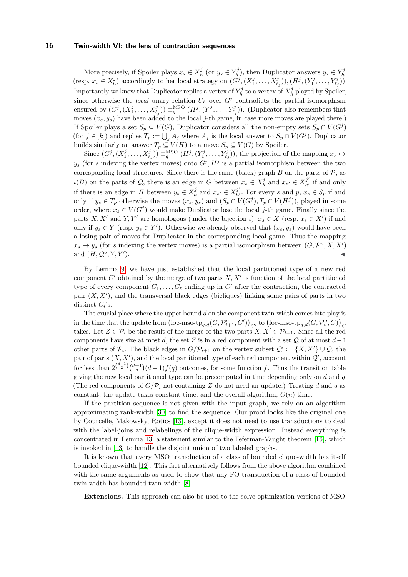More precisely, if Spoiler plays  $x_s \in X_h^j$  (or  $y_s \in Y_h^j$ ), then Duplicator answers  $y_s \in Y_h^j$ (resp.  $x_s \in X_h^j$ ) accordingly to her local strategy on  $(G^j, (X_1^j, \ldots, X_{\ell_j}^j)), (H^j, (Y_1^j, \ldots, Y_{\ell_j}^j)).$ Importantly we know that Duplicator replies a vertex of  $Y_h^j$  to a vertex of  $X_h^j$  played by Spoiler, since otherwise the *local* unary relation  $U_h$  over  $G^j$  contradicts the partial isomorphism ensured by  $(G^j, (X_1^j, \ldots, X_{\ell_j}^j)) \equiv_q^{\text{MSO}} (H^j, (Y_1^j, \ldots, Y_{\ell_j}^j))$ . (Duplicator also remembers that moves  $(x_s, y_s)$  have been added to the local *j*-th game, in case more moves are played there.) If Spoiler plays a set  $S_p \subseteq V(G)$ , Duplicator considers all the non-empty sets  $S_p \cap V(G^j)$ (for  $j \in [k]$ ) and replies  $T_p := \bigcup_j A_j$  where  $A_j$  is the local answer to  $S_p \cap V(G^j)$ . Duplicator builds similarly an answer  $T_p \subseteq V(H)$  to a move  $S_p \subseteq V(G)$  by Spoiler.

Since  $(G^j, (X^j_1, \ldots, X^j_{\ell_j})) \equiv_q^{\text{MSO}} (H^j, (Y^j_1, \ldots, Y^j_{\ell_j}))$ , the projection of the mapping  $x_s \mapsto$  $y_s$  (for *s* indexing the vertex moves) onto  $G^j$ ,  $H^j$  is a partial isomorphism between the two corresponding local structures. Since there is the same (black) graph  $B$  on the parts of  $\mathcal{P}$ , as  $\iota(B)$  on the parts of Q, there is an edge in *G* between  $x_s \in X_h^j$  and  $x_{s'} \in X_{h'}^{j'}$  if and only if there is an edge in *H* between  $y_s \in X_h^j$  and  $x_{s'} \in X_{h'}^{j'}$ . For every *s* and  $p, x_s \in S_p$  if and only if  $y_s \in T_p$  otherwise the moves  $(x_s, y_s)$  and  $(S_p \cap V(G^j), T_p \cap V(H^j))$ , played in some order, where  $x_s \in V(G^j)$  would make Duplicator lose the local *j*-th game. Finally since the parts *X, X'* and *Y, Y'* are homologous (under the bijection *ι*),  $x_s \in X$  (resp.  $x_s \in X'$ ) if and only if  $y_s \in Y$  (resp.  $y_s \in Y'$ ). Otherwise we already observed that  $(x_s, y_s)$  would have been a losing pair of moves for Duplicator in the corresponding local game. Thus the mapping  $x_s \mapsto y_s$  (for *s* indexing the vertex moves) is a partial isomorphism between  $(G, \mathcal{P}^o, X, X')$ and  $(H, \mathcal{Q}^o, Y, Y'$  $\bullet$ 

By Lemma [9,](#page-10-2) we have just established that the local partitioned type of a new red component  $C'$  obtained by the merge of two parts  $X, X'$  is function of the local partitioned type of every component  $C_1, \ldots, C_\ell$  ending up in  $C'$  after the contraction, the contracted pair  $(X, X')$ , and the transversal black edges (bicliques) linking some pairs of parts in two distinct  $C_i$ 's.

The crucial place where the upper bound *d* on the component twin-width comes into play is  $\left(\text{loc-mso-tp}_{q,d}(G,\mathcal{P}_{i+1}^o,C)\right)_{C'}$  to  $\left(\text{loc-mso-tp}_{q,d}(G,\mathcal{P}_{i}^o,C)\right)_{C}$ takes. Let  $Z \in \mathcal{P}_i$  be the result of the merge of the two parts  $X, X' \in \mathcal{P}_{i+1}$ . Since all the red components have size at most *d*, the set *Z* is in a red component with a set Q of at most *d*−1 other parts of  $\mathcal{P}_i$ . The black edges in  $G/\mathcal{P}_{i+1}$  on the vertex subset  $\mathcal{Q}' := \{X, X'\} \cup \mathcal{Q}$ , the pair of parts  $(X, X')$ , and the local partitioned type of each red component within  $\mathcal{Q}'$ , account for less than  $2^{d+1 \choose 2} (d+1) f(q)$  outcomes, for some function *f*. Thus the transition table giving the new local partitioned type can be precomputed in time depending only on *d* and *q*. (The red components of  $G/P_i$  not containing Z do not need an update.) Treating d and q as constant, the update takes constant time, and the overall algorithm,  $O(n)$  time.

If the partition sequence is not given with the input graph, we rely on an algorithm approximating rank-width [\[30\]](#page-26-4) to find the sequence. Our proof looks like the original one by Courcelle, Makowsky, Rotics [\[13\]](#page-25-0), except it does not need to use transductions to deal with the label-joins and relabelings of the clique-width expression. Instead everything is concentrated in Lemma [13,](#page-14-1) a statement similar to the Feferman-Vaught theorem [\[16\]](#page-25-1), which is invoked in [\[13\]](#page-25-0) to handle the disjoint union of two labeled graphs.

It is known that every MSO transduction of a class of bounded clique-width has itself bounded clique-width [\[12\]](#page-25-9). This fact alternatively follows from the above algorithm combined with the same arguments as used to show that any FO transduction of a class of bounded twin-width has bounded twin-width [\[8\]](#page-24-0).

**Extensions.** This approach can also be used to the solve optimization versions of MSO.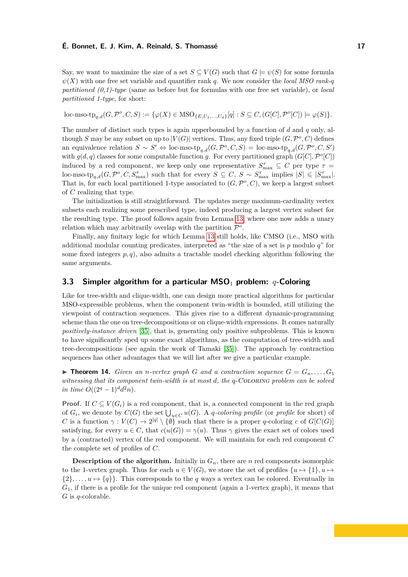Say, we want to maximize the size of a set  $S \subseteq V(G)$  such that  $G \models \psi(S)$  for some formula  $\psi(X)$  with one free set variable and quantifier rank *q*. We now consider the *local MSO rank-q partitioned (0,1)-type* (same as before but for formulas with one free set variable), or *local partitioned 1-type*, for short:

$$
\text{loc-mso-top}_{q,d}(G, \mathcal{P}^o, C, S) := \{ \varphi(X) \in \text{MSO}_{\{E, U_1, \ldots, U_d\}}[q] : S \subseteq C, (G[C], \mathcal{P}^o[C]) \models \varphi(S) \}.
$$

The number of distinct such types is again upperbounded by a function of *d* and *q* only, although *S* may be any subset on up to  $|V(G)|$  vertices. Thus, any fixed triple  $(G, \mathcal{P}^o, C)$  defines an equivalence relation  $S \sim S' \Leftrightarrow$  loc-mso-tp<sub>q,d</sub>( $G, \mathcal{P}^o, C, S$ ) = loc-mso-tp<sub>q,d</sub>( $G, \mathcal{P}^o, C, S'$ ) with  $g(d, q)$  classes for some computable function *g*. For every partitioned graph  $(G[C], \mathcal{P}^o[C])$ induced by a red component, we keep only one representative  $S_{\text{max}}^{\tau} \subseteq C$  per type  $\tau =$  $\text{loc-mso-tp}_{q,d}(G, \mathcal{P}^o, C, S_{\text{max}}^{\tau})$  such that for every  $S \subseteq C, S \sim S_{\text{max}}^{\tau}$  implies  $|S| \leqslant |S_{\text{max}}^{\tau}|$ . That is, for each local partitioned 1-type associated to  $(G, \mathcal{P}^o, C)$ , we keep a largest subset of *C* realizing that type.

The initialization is still straightforward. The updates merge maximum-cardinality vertex subsets each realizing some prescribed type, indeed producing a largest vertex subset for the resulting type. The proof follows again from Lemma [13,](#page-14-1) where one now adds a unary relation which may arbitrarily overlap with the partition  $\mathcal{P}^o$ .

Finally, any finitary logic for which Lemma [13](#page-14-1) still holds, like CMSO (i.e., MSO with additional modular counting predicates, interpreted as "the size of a set is *p* modulo *q*" for some fixed integers  $p, q$ , also admits a tractable model checking algorithm following the same arguments.

# **3.3 Simpler algorithm for a particular MSO**<sup>1</sup> **problem:** *q***-Coloring**

Like for tree-width and clique-width, one can design more practical algorithms for particular MSO-expressible problems, when the component twin-width is bounded, still utilizing the viewpoint of contraction sequences. This gives rise to a different dynamic-programming scheme than the one on tree-decompositions or on clique-width expressions. It comes naturally *positively-instance driven* [\[35\]](#page-26-5), that is, generating only positive subproblems. This is known to have significantly sped up some exact algorithms, as the computation of tree-width and tree-decompositions (see again the work of Tamaki [\[35\]](#page-26-5)). The approach by contraction sequences has other advantages that we will list after we give a particular example.

 $\triangleright$  **Theorem 14.** *Given an n-vertex graph G and a contraction sequence*  $G = G_n, \ldots, G_1$ *witnessing that its component twin-width is at most d, the q*-Coloring *problem can be solved in time*  $O((2^q - 1)^d d^2 n)$ *.* 

**Proof.** If  $C \subseteq V(G_i)$  is a red component, that is, a connected component in the red graph of  $G_i$ , we denote by  $C(G)$  the set  $\bigcup_{u \in C} u(G)$ . A *q*-coloring profile (or profile for short) of *C* is a function  $\gamma: V(C) \to 2^{[q]} \setminus \{\emptyset\}$  such that there is a proper *q*-coloring *c* of  $G[C(G)]$ satisfying, for every  $u \in C$ , that  $c(u(G)) = \gamma(u)$ . Thus  $\gamma$  gives the exact set of colors used by a (contracted) vertex of the red component. We will maintain for each red component *C* the complete set of profiles of *C*.

**Description of the algorithm.** Initially in  $G_n$ , there are *n* red components isomorphic to the 1-vertex graph. Thus for each  $u \in V(G)$ , we store the set of profiles  $\{u \mapsto \{1\}, u \mapsto$  $\{2\}, \ldots, u \mapsto \{q\}$ . This corresponds to the *q* ways a vertex can be colored. Eventually in *G*1, if there is a profile for the unique red component (again a 1-vertex graph), it means that *G* is *q*-colorable.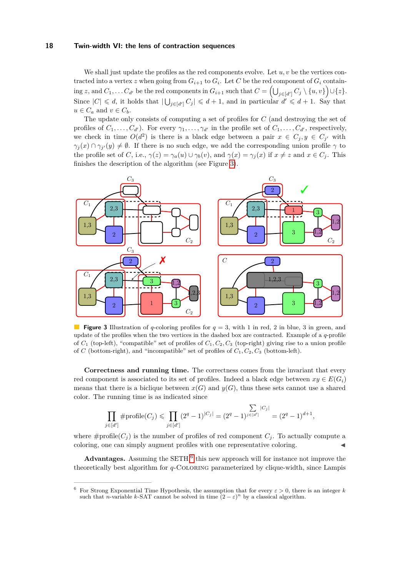We shall just update the profiles as the red components evolve. Let  $u, v$  be the vertices contracted into a vertex *z* when going from  $G_{i+1}$  to  $G_i$ . Let  $C$  be the red component of  $G_i$  contain- $\sup z$ , and  $C_1, \ldots C_{d'}$  be the red components in  $G_{i+1}$  such that  $C = \left( \bigcup_{j \in [d']} C_j \setminus \{u,v\} \right) \cup \{z\}.$ Since  $|C| \le d$ , it holds that  $|\bigcup_{j \in [d']} C_j| \le d+1$ , and in particular  $d' \le d+1$ . Say that  $u \in C_a$  and  $v \in C_b$ .

The update only consists of computing a set of profiles for *C* (and destroying the set of profiles of  $C_1, \ldots, C_{d'}$ . For every  $\gamma_1, \ldots, \gamma_{d'}$  in the profile set of  $C_1, \ldots, C_{d'}$ , respectively, we check in time  $O(d^2)$  is there is a black edge between a pair  $x \in C_j$ ,  $y \in C_{j'}$  with  $\gamma_j(x) \cap \gamma_{j'}(y) \neq \emptyset$ . If there is no such edge, we add the corresponding union profile  $\gamma$  to the profile set of C, i.e.,  $\gamma(z) = \gamma_a(u) \cup \gamma_b(v)$ , and  $\gamma(x) = \gamma_i(x)$  if  $x \neq z$  and  $x \in C_i$ . This finishes the description of the algorithm (see Figure [3\)](#page-17-0).

<span id="page-17-0"></span>

**Figure 3** Illustration of *q*-coloring profiles for  $q = 3$ , with 1 in red, 2 in blue, 3 in green, and update of the profiles when the two vertices in the dashed box are contracted. Example of a *q*-profile of *C*<sup>1</sup> (top-left), "compatible" set of profiles of *C*1*, C*2*, C*<sup>3</sup> (top-right) giving rise to a union profile of *C* (bottom-right), and "incompatible" set of profiles of  $C_1, C_2, C_3$  (bottom-left).

**Correctness and running time.** The correctness comes from the invariant that every red component is associated to its set of profiles. Indeed a black edge between  $x_y \in E(G_i)$ means that there is a biclique between  $x(G)$  and  $y(G)$ , thus these sets cannot use a shared color. The running time is as indicated since

$$
\prod_{j \in [d']} \# \text{profile}(C_j) \leqslant \prod_{j \in [d']} (2^q - 1)^{|C_j|} = (2^q - 1)^{\sum_{j \in [d']} |C_j|} = (2^q - 1)^{d+1},
$$

where  $\#profile(C_i)$  is the number of profiles of red component  $C_i$ . To actually compute a coloring, one can simply augment profiles with one representative coloring.

Advantages. Assuming the  $SETH<sup>6</sup>$  $SETH<sup>6</sup>$  $SETH<sup>6</sup>$  this new approach will for instance not improve the theoretically best algorithm for *q*-Coloring parameterized by clique-width, since Lampis

<span id="page-17-1"></span><sup>&</sup>lt;sup>6</sup> For Strong Exponential Time Hypothesis, the assumption that for every  $\varepsilon > 0$ , there is an integer *k* such that *n*-variable *k*-SAT cannot be solved in time  $(2 - \varepsilon)^n$  by a classical algorithm.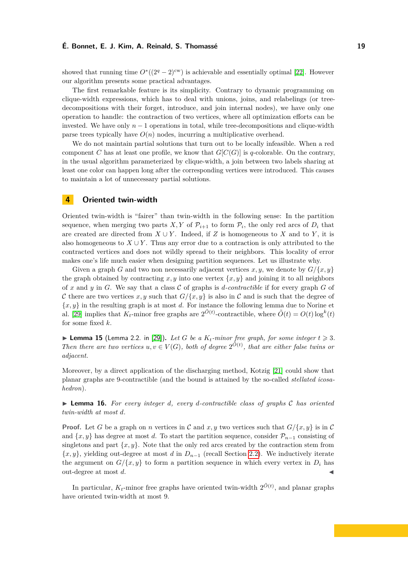showed that running time  $O<sup>*</sup>((2<sup>q</sup> – 2)<sup>cw</sup>)$  is achievable and essentially optimal [\[22\]](#page-25-13). However our algorithm presents some practical advantages.

The first remarkable feature is its simplicity. Contrary to dynamic programming on clique-width expressions, which has to deal with unions, joins, and relabelings (or treedecompositions with their forget, introduce, and join internal nodes), we have only one operation to handle: the contraction of two vertices, where all optimization efforts can be invested. We have only  $n-1$  operations in total, while tree-decompositions and clique-width parse trees typically have  $O(n)$  nodes, incurring a multiplicative overhead.

We do not maintain partial solutions that turn out to be locally infeasible. When a red component *C* has at least one profile, we know that  $G[C(G)]$  is *q*-colorable. On the contrary, in the usual algorithm parameterized by clique-width, a join between two labels sharing at least one color can happen long after the corresponding vertices were introduced. This causes to maintain a lot of unnecessary partial solutions.

# <span id="page-18-0"></span>**4 Oriented twin-width**

Oriented twin-width is "fairer" than twin-width in the following sense: In the partition sequence, when merging two parts *X*, *Y* of  $\mathcal{P}_{i+1}$  to form  $\mathcal{P}_i$ , the only red arcs of  $D_i$  that are created are directed from  $X \cup Y$ . Indeed, if *Z* is homogeneous to *X* and to *Y*, it is also homogeneous to  $X \cup Y$ . Thus any error due to a contraction is only attributed to the contracted vertices and does not wildly spread to their neighbors. This locality of error makes one's life much easier when designing partition sequences. Let us illustrate why.

Given a graph *G* and two non necessarily adjacent vertices  $x, y$ , we denote by  $G/\{x, y\}$ the graph obtained by contracting  $x, y$  into one vertex  $\{x, y\}$  and joining it to all neighbors of x and y in G. We say that a class C of graphs is *d*-contractible if for every graph  $G$  of C there are two vertices x, y such that  $G/\{x, y\}$  is also in C and is such that the degree of  $\{x, y\}$  in the resulting graph is at most *d*. For instance the following lemma due to Norine et al. [\[29\]](#page-26-6) implies that  $K_t$ -minor free graphs are  $2^{\tilde{O}(t)}$ -contractible, where  $\tilde{O}(t) = O(t) \log^k(t)$ for some fixed *k*.

 $\blacktriangleright$  **Lemma 15** (Lemma 2.2. in [\[29\]](#page-26-6)). Let G be a  $K_t$ -minor free graph, for some integer  $t \geq 3$ . *Then there are two vertices*  $u, v \in V(G)$ , both of degree  $2^{\tilde{O}(t)}$ , that are either false twins or *adjacent.*

Moreover, by a direct application of the discharging method, Kotzig [\[21\]](#page-25-14) could show that planar graphs are 9-contractible (and the bound is attained by the so-called *stellated icosahedron*).

▶ **Lemma 16.** *For every integer d, every d-contractible class of graphs* C *has oriented twin-width at most d.*

**Proof.** Let *G* be a graph on *n* vertices in *C* and *x, y* two vertices such that  $G/\{x, y\}$  is in *C* and  $\{x, y\}$  has degree at most *d*. To start the partition sequence, consider  $\mathcal{P}_{n-1}$  consisting of singletons and part  $\{x, y\}$ . Note that the only red arcs created by the contraction stem from {*x, y*}, yielding out-degree at most *d* in *Dn*−<sup>1</sup> (recall Section [2.2\)](#page-6-1). We inductively iterate the argument on  $G/\{x, y\}$  to form a partition sequence in which every vertex in  $D_i$  has out-degree at most  $d$ .

In particular,  $K_t$ -minor free graphs have oriented twin-width  $2^{\tilde{O}(t)}$ , and planar graphs have oriented twin-width at most 9.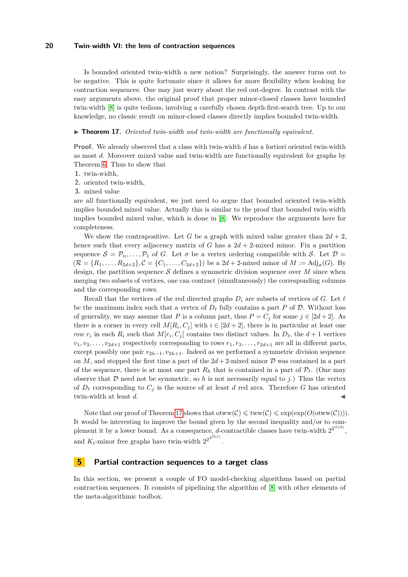Is bounded oriented twin-width a new notion? Surprisingly, the answer turns out to be negative. This is quite fortunate since it allows for more flexibility when looking for contraction sequences: One may just worry about the red out-degree. In contrast with the easy arguments above, the original proof that proper minor-closed classes have bounded twin-width [\[8\]](#page-24-0) is quite tedious, involving a carefully chosen depth-first-search tree. Up to our knowledge, no classic result on minor-closed classes directly implies bounded twin-width.

#### <span id="page-19-1"></span>▶ **Theorem 17.** *Oriented twin-width and twin-width are functionally equivalent.*

**Proof.** We already observed that a class with twin-width *d* has a fortiori oriented twin-width as most *d*. Moreover mixed value and twin-width are functionally equivalent for graphs by Theorem [6.](#page-8-0) Thus to show that

- **1.** twin-width,
- **2.** oriented twin-width,
- **3.** mixed value

are all functionally equivalent, we just need to argue that bounded oriented twin-width implies bounded mixed value. Actually this is similar to the proof that bounded twin-width implies bounded mixed value, which is done in [\[8\]](#page-24-0). We reproduce the arguments here for completeness.

We show the contrapositive. Let G be a graph with mixed value greater than  $2d + 2$ , hence such that every adjacency matrix of *G* has a  $2d + 2$ -mixed minor. Fix a partition sequence  $S = \mathcal{P}_n, \ldots, \mathcal{P}_1$  of *G*. Let  $\sigma$  be a vertex ordering compatible with *S*. Let  $\mathcal{D} =$  $(\mathcal{R} = \{R_1, \ldots, R_{2d+2}\}, \mathcal{C} = \{C_1, \ldots, C_{2d+2}\})$  be a  $2d+2$ -mixed minor of  $M := Adj_{\sigma}(G)$ . By design, the partition sequence  $S$  defines a symmetric division sequence over  $M$  since when merging two subsets of vertices, one can contract (simultaneously) the corresponding columns and the corresponding rows.

Recall that the vertices of the red directed graphs  $D_i$  are subsets of vertices of *G*. Let  $\ell$ be the maximum index such that a vertex of  $D_{\ell}$  fully contains a part P of D. Without loss of generality, we may assume that *P* is a column part, thus  $P = C_i$  for some  $j \in [2d + 2]$ . As there is a corner in every cell  $M[R_i, C_j]$  with  $i \in [2d + 2]$ , there is in particular at least one *row*  $r_i$  in each  $R_i$  such that  $M[r_i, C_j]$  contains two distinct values. In  $D_{\ell}$ , the  $d+1$  vertices  $v_1, v_3, \ldots, v_{2d+1}$  respectively corresponding to rows  $r_1, r_3, \ldots, r_{2d+1}$  are all in different parts, except possibly one pair  $v_{2h-1}, v_{2h+1}$ . Indeed as we performed a symmetric division sequence on *M*, and stopped the first time a part of the  $2d + 2$ -mixed minor *D* was contained in a part of the sequence, there is at most one part  $R_h$  that is contained in a part of  $\mathcal{P}_{\ell}$ . (One may observe that  $D$  need not be symmetric, so  $h$  is not necessarily equal to  $j$ .) Thus the vertex of  $D_{\ell}$  corresponding to  $C_j$  is the source of at least *d* red arcs. Therefore *G* has oriented twin-width at least  $d$ .

Note that our proof of Theorem [17](#page-19-1) shows that  $otww(\mathcal{C}) \leq \text{tww}(\mathcal{C}) \leq \exp(\exp(O(\text{otww}(\mathcal{C})))$ . It would be interesting to improve the bound given by the second inequality and/or to complement it by a lower bound. As a consequence, *d*-contractible classes have twin-width  $2^{2^{O(d)}}$ , and  $K_t$ -minor free graphs have twin-width  $2^{2^{2^{\tilde{O}(t)}}}$ .

# <span id="page-19-0"></span>**5 Partial contraction sequences to a target class**

In this section, we present a couple of FO model-checking algorithms based on partial contraction sequences. It consists of pipelining the algorithm of [\[8\]](#page-24-0) with other elements of the meta-algorithmic toolbox.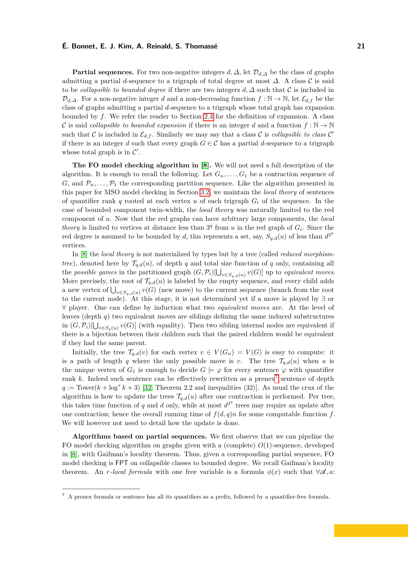**Partial sequences.** For two non-negative integers  $d, \Delta$ , let  $\mathcal{D}_{d,\Delta}$  be the class of graphs admitting a partial *d*-sequence to a trigraph of total degree at most  $\Delta$ . A class  $\mathcal C$  is said to be *collapsible to bounded degree* if there are two integers *d, ∆* such that C is included in  $\mathcal{D}_{d,\Delta}$ . For a non-negative integer *d* and a non-decreasing function  $f : \mathbb{N} \to \mathbb{N}$ , let  $\mathcal{E}_{d,f}$  be the class of graphs admitting a partial *d*-sequence to a trigraph whose total graph has expansion bounded by *f*. We refer the reader to Section [2.4](#page-8-1) for the definition of expansion. A class C is said *collapsible to bounded expansion* if there is an integer *d* and a function  $f : \mathbb{N} \to \mathbb{N}$ such that C is included in  $\mathcal{E}_{d,f}$ . Similarly we may say that a class C is *collapsible to class* C' if there is an integer *d* such that every graph  $G \in \mathcal{C}$  has a partial *d*-sequence to a trigraph whose total graph is in  $\mathcal{C}'$ .

**The FO model checking algorithm in [\[8\]](#page-24-0).** We will not need a full description of the algorithm. It is enough to recall the following. Let  $G_n, \ldots, G_1$  be a contraction sequence of *G*, and  $\mathcal{P}_n, \ldots, \mathcal{P}_1$  the corresponding partition sequence. Like the algorithm presented in this paper for MSO model checking in Section [3.2,](#page-13-0) we maintain the *local theory* of sentences of quantifier rank  $q$  rooted at each vertex  $u$  of each trigraph  $G_i$  of the sequence. In the case of bounded component twin-width, the *local theory* was naturally limited to the red component of *u*. Now that the red graphs can have arbitrary large components, the *local theory* is limited to vertices at distance less than  $3<sup>q</sup>$  from *u* in the red graph of  $G_i$ . Since the red degree is assumed to be bounded by *d*, this represents a set, say,  $S_{q,d}(u)$  of less than  $d^{3^q}$ vertices.

In [\[8\]](#page-24-0) the *local theory* is not materialized by types but by a tree (called *reduced morphismtree*), denoted here by  $\mathcal{T}_{q,d}(u)$ , of depth *q* and total size function of *q* only, containing all the *possible games* in the partitioned graph  $(G, \mathcal{P}_i)[\bigcup_{v \in S_{q,d}(u)} v(G)]$  up to *equivalent moves*. More precisely, the root of  $\mathcal{T}_{q,d}(u)$  is labeled by the empty sequence, and every child adds a new vertex of  $\bigcup_{v \in S_q, d(u)} v(G)$  (new move) to the current sequence (branch from the root to the current node). At this stage, it is not determined yet if a move is played by ∃ or ∀ player. One can define by induction what two *equivalent moves* are. At the level of leaves (depth *q*) two equivalent moves are siblings defining the same induced substructures in  $(G, \mathcal{P}_i)[\bigcup_{v \in S_q(u)} v(G)]$  (with equality). Then two sibling internal nodes are equivalent if there is a bijection between their children such that the paired children would be equivalent if they had the same parent.

Initially, the tree  $\mathcal{T}_{q,d}(v)$  for each vertex  $v \in V(G_n) = V(G)$  is easy to compute: it is a path of length *q* where the only possible move is *v*. The tree  $\mathcal{T}_{q,d}(u)$  when *u* is the unique vertex of  $G_1$  is enough to decide  $G \models \varphi$  for every sentence  $\varphi$  with quantifier rank *k*. Indeed such sentence can be effectively rewritten as a prenex<sup>[7](#page-20-0)</sup> sentence of depth  $q := \text{Lower}(k + \log^* k + 3)$  [\[32,](#page-26-7) Theorem 2.2 and inequalities (32)]. As usual the crux of the algorithm is how to update the trees  $\mathcal{T}_{q,d}(u)$  after one contraction is performed. Per tree, this takes time function of *q* and *d* only, while at most  $d^{3^q}$  trees may require an update after one contraction; hence the overall running time of  $f(d, q)n$  for some computable function  $f$ . We will however not need to detail how the update is done.

**Algorithms based on partial sequences.** We first observe that we can pipeline the FO model checking algorithm on graphs given with a (complete) *O*(1)-sequence, developed in [\[8\]](#page-24-0), with Gaifman's locality theorem. Thus, given a corresponding partial sequence, FO model checking is FPT on collapsible classes to bounded degree. We recall Gaifman's locality theorem. An *r-local formula* with one free variable is a formula  $\phi(x)$  such that  $\forall \mathcal{A}, a$ :

<span id="page-20-0"></span><sup>7</sup> A prenex formula or sentence has all its quantifiers as a prefix, followed by a quantifier-free formula.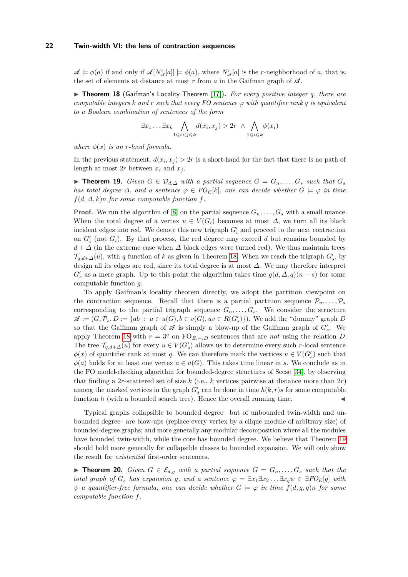$\mathscr{A} \models \phi(a)$  if and only if  $\mathscr{A}[N^r_{\mathscr{A}}[a]] \models \phi(a)$ , where  $N^r_{\mathscr{A}}[a]$  is the *r*-neighborhood of *a*, that is, the set of elements at distance at most  $r$  from  $a$  in the Gaifman graph of  $\mathscr A$ .

<span id="page-21-0"></span>▶ **Theorem 18** (Gaifman's Locality Theorem [\[17\]](#page-25-15))**.** *For every positive integer q, there are computable integers*  $k$  *and*  $r$  *such that every FO sentence*  $\varphi$  *with quantifier rank*  $q$  *is equivalent to a Boolean combination of sentences of the form*

$$
\exists x_1 \dots \exists x_k \bigwedge_{1 \leq i < j \leq k} d(x_i, x_j) > 2r \land \bigwedge_{1 \leq i \leq k} \phi(x_i)
$$

*where*  $\phi(x)$  *is an r-local formula.* 

In the previous statement,  $d(x_i, x_j) > 2r$  is a short-hand for the fact that there is no path of length at most  $2r$  between  $x_i$  and  $x_j$ .

<span id="page-21-1"></span>▶ **Theorem 19.** *Given*  $G \in \mathcal{D}_{d,\Delta}$  *with a partial sequence*  $G = G_n, \ldots, G_s$  *such that*  $G_s$ *has total degree*  $\Delta$ *, and a sentence*  $\varphi \in FO_E[k]$ *, one can decide whether*  $G \models \varphi$  *in time*  $f(d, \Delta, k)n$  *for some computable function*  $f$ *.* 

**Proof.** We run the algorithm of [\[8\]](#page-24-0) on the partial sequence  $G_n, \ldots, G_s$  with a small nuance. When the total degree of a vertex  $u \in V(G_i)$  becomes at most  $\Delta$ , we turn all its black incident edges into red. We denote this new trigraph  $G'_{i}$  and proceed to the next contraction on  $G'_{i}$  (not  $G_{i}$ ). By that process, the red degree may exceed  $d$  but remains bounded by  $d + \Delta$  (in the extreme case when  $\Delta$  black edges were turned red). We thus maintain trees  $\mathcal{T}_{q,d+\Delta}(u)$ , with *q* function of *k* as given in Theorem [18.](#page-21-0) When we reach the trigraph  $G'_{s}$ , by design all its edges are red, since its total degree is at most *∆*. We may therefore interpret  $G'_{s}$  as a mere graph. Up to this point the algorithm takes time  $g(d, \Delta, q)(n - s)$  for some computable function *g*.

To apply Gaifman's locality theorem directly, we adopt the partition viewpoint on the contraction sequence. Recall that there is a partial partition sequence  $\mathcal{P}_n, \ldots, \mathcal{P}_s$ corresponding to the partial trigraph sequence  $G_n, \ldots, G_s$ . We consider the structure  $\mathscr{A} := (G, \mathcal{P}_s, D) := \{ ab \ : \ a \in u(G), b \in v(G), uv \in R(G_s') \}$ . We add the "dummy" graph *D* so that the Gaifman graph of  $\mathscr A$  is simply a blow-up of the Gaifman graph of  $G'_s$ . We apply Theorem [18](#page-21-0) with  $r = 3<sup>q</sup>$  on FO<sub>E</sub>,∼<sub>*,D*</sub> sentences that are *not* using the relation *D*. The tree  $\mathcal{T}_{q,d+\Delta}(u)$  for every  $u \in V(G_s')$  allows us to determine every such *r*-local sentence  $\phi(x)$  of quantifier rank at most *q*. We can therefore mark the vertices  $u \in V(G'_{s})$  such that  $\phi(a)$  holds for at least one vertex  $a \in u(G)$ . This takes time linear in *s*. We conclude as in the FO model-checking algorithm for bounded-degree structures of Seese [\[34\]](#page-26-8), by observing that finding a 2*r*-scattered set of size  $k$  (i.e.,  $k$  vertices pairwise at distance more than  $2r$ ) among the marked vertices in the graph  $G'_{s}$  can be done in time  $h(k, r)s$  for some computable function  $h$  (with a bounded search tree). Hence the overall running time.  $\triangleleft$ 

Typical graphs collapsible to bounded degree –but of unbounded twin-width and unbounded degree– are blow-ups (replace every vertex by a clique module of arbitrary size) of bounded-degree graphs; and more generally any modular decomposition where all the modules have bounded twin-width, while the core has bounded degree. We believe that Theorem [19](#page-21-1) should hold more generally for collapsible classes to bounded expansion. We will only show the result for *existential* first-order sentences.

▶ **Theorem 20.** *Given*  $G \in \mathcal{E}_{d,g}$  *with a partial sequence*  $G = G_n, \ldots, G_s$  *such that the total graph of*  $G_s$  *has expansion g,* and a sentence  $\varphi = \exists x_1 \exists x_2 \dots \exists x_q \psi \in \exists FO_E[q]$  with  $\psi$  *a* quantifier-free formula, one can decide whether  $G \models \varphi$  in time  $f(d, g, q)n$  for some *computable function f.*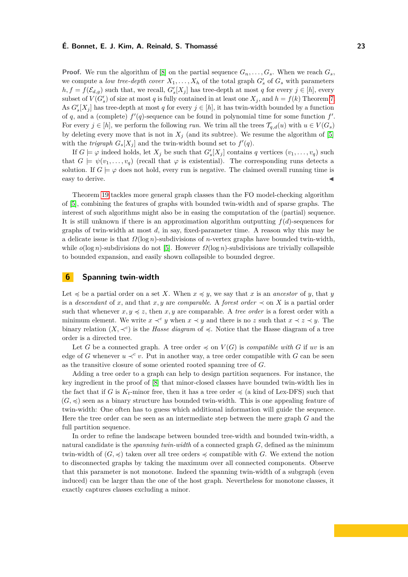**Proof.** We run the algorithm of [\[8\]](#page-24-0) on the partial sequence  $G_n, \ldots, G_s$ . When we reach  $G_s$ we compute a *low tree-depth cover*  $X_1, \ldots, X_h$  of the total graph  $G'_s$  of  $G_s$  with parameters  $h, f = f(\mathcal{E}_{d,g})$  such that, we recall,  $G'_{s}[X_j]$  has tree-depth at most *q* for every  $j \in [h]$ , every subset of  $V(G'_{s})$  of size at most *q* is fully contained in at least one  $X_{j}$ , and  $h = f(k)$  Theorem [7.](#page-9-0) As  $G'_{s}[X_j]$  has tree-depth at most *q* for every  $j \in [h]$ , it has twin-width bounded by a function of q, and a (complete)  $f'(q)$ -sequence can be found in polynomial time for some function  $f'$ . For every  $j \in [h]$ , we perform the following *run*. We trim all the trees  $\mathcal{T}_{q,d}(u)$  with  $u \in V(G_s)$ by deleting every move that is not in  $X_i$  (and its subtree). We resume the algorithm of [\[5\]](#page-24-1) with the *trigraph*  $G_s[X_j]$  and the twin-width bound set to  $f'(q)$ .

If  $G \models \varphi$  indeed holds, let  $X_j$  be such that  $G'_s[X_j]$  contains  $q$  vertices  $(v_1, \ldots, v_q)$  such that  $G \models \psi(v_1, \ldots, v_q)$  (recall that  $\varphi$  is existential). The corresponding runs detects a solution. If  $G \models \varphi$  does not hold, every run is negative. The claimed overall running time is easy to derive.

Theorem [19](#page-21-1) tackles more general graph classes than the FO model-checking algorithm of [\[5\]](#page-24-1), combining the features of graphs with bounded twin-width and of sparse graphs. The interest of such algorithms might also be in easing the computation of the (partial) sequence. It is still unknown if there is an approximation algorithm outputting  $f(d)$ -sequences for graphs of twin-width at most *d*, in say, fixed-parameter time. A reason why this may be a delicate issue is that *Ω*(log *n*)-subdivisions of *n*-vertex graphs have bounded twin-width, while *o*(log *n*)-subdivisions do not [\[5\]](#page-24-1). However *Ω*(log *n*)-subdivisions are trivially collapsible to bounded expansion, and easily shown collapsible to bounded degree.

# <span id="page-22-0"></span>**6 Spanning twin-width**

Let  $\leq$  be a partial order on a set *X*. When  $x \leq y$ , we say that *x* is an *ancestor* of *y*, that *y* is a *descendant* of *x*, and that *x*, *y* are *comparable*. A *forest order*  $\prec$  on *X* is a partial order such that whenever  $x, y \leq z$ , then  $x, y$  are comparable. A *tree order* is a forest order with a minimum element. We write  $x \prec^c y$  when  $x \prec y$  and there is no *z* such that  $x \prec z \prec y$ . The binary relation  $(X, \prec^c)$  is the *Hasse diagram* of  $\prec$ . Notice that the Hasse diagram of a tree order is a directed tree.

Let *G* be a connected graph. A tree order  $\preccurlyeq$  on  $V(G)$  is *compatible with G* if *uv* is an edge of *G* whenever  $u \prec^c v$ . Put in another way, a tree order compatible with *G* can be seen as the transitive closure of some oriented rooted spanning tree of *G*.

Adding a tree order to a graph can help to design partition sequences. For instance, the key ingredient in the proof of [\[8\]](#page-24-0) that minor-closed classes have bounded twin-width lies in the fact that if *G* is  $K_t$ -minor free, then it has a tree order  $\preccurlyeq$  (a kind of Lex-DFS) such that  $(G, \preccurlyeq)$  seen as a binary structure has bounded twin-width. This is one appealing feature of twin-width: One often has to guess which additional information will guide the sequence. Here the tree order can be seen as an intermediate step between the mere graph *G* and the full partition sequence.

In order to refine the landscape between bounded tree-width and bounded twin-width, a natural candidate is the *spanning twin-width* of a connected graph *G*, defined as the minimum twin-width of  $(G, \preccurlyeq)$  taken over all tree orders  $\preccurlyeq$  compatible with *G*. We extend the notion to disconnected graphs by taking the maximum over all connected components. Observe that this parameter is not monotone. Indeed the spanning twin-width of a subgraph (even induced) can be larger than the one of the host graph. Nevertheless for monotone classes, it exactly captures classes excluding a minor.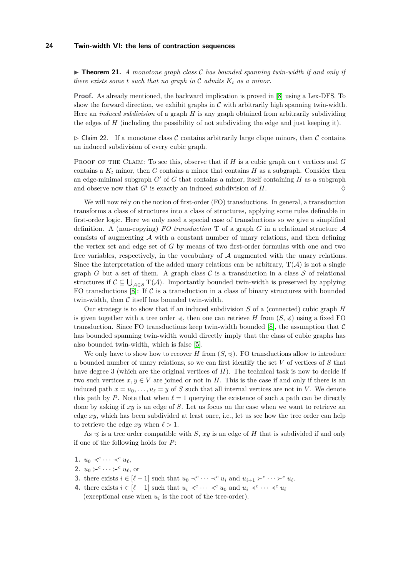$\triangleright$  **Theorem 21.** *A monotone graph class*  $\mathcal C$  *has bounded spanning twin-width if and only if there exists some t such that no graph in*  $\mathcal{C}$  *admits*  $K_t$  *as a minor.* 

**Proof.** As already mentioned, the backward implication is proved in [\[8\]](#page-24-0) using a Lex-DFS. To show the forward direction, we exhibit graphs in  $\mathcal C$  with arbitrarily high spanning twin-width. Here an *induced subdivision* of a graph *H* is any graph obtained from arbitrarily subdividing the edges of  $H$  (including the possibility of not subdividing the edge and just keeping it).

 $\triangleright$  Claim 22. If a monotone class C contains arbitrarily large clique minors, then C contains an induced subdivision of every cubic graph.

PROOF OF THE CLAIM: To see this, observe that if *H* is a cubic graph on *t* vertices and *G* contains a  $K_t$  minor, then *G* contains a minor that contains *H* as a subgraph. Consider then an edge-minimal subgraph  $G'$  of  $G$  that contains a minor, itself containing  $H$  as a subgraph and observe now that  $G'$  is exactly an induced subdivision of  $H$ .

We will now rely on the notion of first-order (FO) transductions. In general, a transduction transforms a class of structures into a class of structures, applying some rules definable in first-order logic. Here we only need a special case of transductions so we give a simplified definition. A (non-copying)  $FO$  transduction  $T$  of a graph  $G$  in a relational structure  $\mathcal A$ consists of augmenting  $\mathcal A$  with a constant number of unary relations, and then defining the vertex set and edge set of *G* by means of two first-order formulas with one and two free variables, respectively, in the vocabulary of  $A$  augmented with the unary relations. Since the interpretation of the added unary relations can be arbitrary,  $T(A)$  is not a single graph *G* but a set of them. A graph class  $C$  is a transduction in a class  $S$  of relational structures if  $\mathcal{C} \subseteq \bigcup_{\mathcal{A} \in \mathcal{S}} T(\mathcal{A})$ . Importantly bounded twin-width is preserved by applying FO transductions  $[8]$ : If C is a transduction in a class of binary structures with bounded twin-width, then  $C$  itself has bounded twin-width.

Our strategy is to show that if an induced subdivision *S* of a (connected) cubic graph *H* is given together with a tree order  $\preccurlyeq$ , then one can retrieve *H* from  $(S, \preccurlyeq)$  using a fixed FO transduction. Since FO transductions keep twin-width bounded [\[8\]](#page-24-0), the assumption that  $\mathcal C$ has bounded spanning twin-width would directly imply that the class of cubic graphs has also bounded twin-width, which is false [\[5\]](#page-24-1).

We only have to show how to recover *H* from  $(S, \preccurlyeq)$ . FO transductions allow to introduce a bounded number of unary relations, so we can first identify the set *V* of vertices of *S* that have degree 3 (which are the original vertices of *H*). The technical task is now to decide if two such vertices  $x, y \in V$  are joined or not in *H*. This is the case if and only if there is an induced path  $x = u_0, \ldots, u_\ell = y$  of *S* such that all internal vertices are not in *V*. We denote this path by *P*. Note that when  $\ell = 1$  querying the existence of such a path can be directly done by asking if *xy* is an edge of *S*. Let us focus on the case when we want to retrieve an edge *xy*, which has been subdivided at least once, i.e., let us see how the tree order can help to retrieve the edge  $xy$  when  $\ell > 1$ .

As  $\leq$  is a tree order compatible with *S*, *xy* is an edge of *H* that is subdivided if and only if one of the following holds for *P*:

- 1.  $u_0 \prec^c \cdots \prec^c u_\ell$
- **2.**  $u_0 \succ^c \cdots \succ^c u_\ell$ , or
- **3.** there exists  $i \in [\ell-1]$  such that  $u_0 \prec^c \cdots \prec^c u_i$  and  $u_{i+1} \succ^c \cdots \succ^c u_\ell$ .
- **4.** there exists  $i \in [\ell-1]$  such that  $u_i \prec^c \cdots \prec^c u_0$  and  $u_i \prec^c \cdots \prec^c u_\ell$ (exceptional case when  $u_i$  is the root of the tree-order).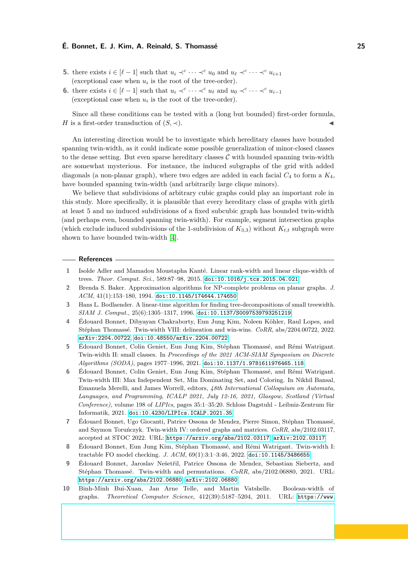- **5.** there exists  $i \in [\ell-1]$  such that  $u_i \prec^c \cdots \prec^c u_0$  and  $u_\ell \prec^c \cdots \prec^c u_{i+1}$ (exceptional case when  $u_i$  is the root of the tree-order).
- **6.** there exists  $i \in [\ell-1]$  such that  $u_i \prec^c \cdots \prec^c u_\ell$  and  $u_0 \prec^c \cdots \prec^c u_{i-1}$ (exceptional case when  $u_i$  is the root of the tree-order).

Since all these conditions can be tested with a (long but bounded) first-order formula, *H* is a first-order transduction of  $(S, \prec)$ .

An interesting direction would be to investigate which hereditary classes have bounded spanning twin-width, as it could indicate some possible generalization of minor-closed classes to the dense setting. But even sparse hereditary classes  $C$  with bounded spanning twin-width are somewhat mysterious. For instance, the induced subgraphs of the grid with added diagonals (a non-planar graph), where two edges are added in each facial *C*<sup>4</sup> to form a *K*4, have bounded spanning twin-width (and arbitrarily large clique minors).

We believe that subdivisions of arbitrary cubic graphs could play an important role in this study. More specifically, it is plausible that every hereditary class of graphs with girth at least 5 and no induced subdivisions of a fixed subcubic graph has bounded twin-width (and perhaps even, bounded spanning twin-width). For example, segment intersection graphs (which exclude induced subdivisions of the 1-subdivision of  $K_{3,3}$ ) without  $K_{t,t}$  subgraph were shown to have bounded twin-width [\[4\]](#page-24-9).

#### **References**

- <span id="page-24-7"></span>**1** Isolde Adler and Mamadou Moustapha Kanté. Linear rank-width and linear clique-width of trees. *Theor. Comput. Sci.*, 589:87–98, 2015. [doi:10.1016/j.tcs.2015.04.021](https://doi.org/10.1016/j.tcs.2015.04.021).
- <span id="page-24-5"></span>**2** Brenda S. Baker. Approximation algorithms for NP-complete problems on planar graphs. *J. ACM*, 41(1):153–180, 1994. [doi:10.1145/174644.174650](https://doi.org/10.1145/174644.174650).
- <span id="page-24-8"></span>**3** Hans L. Bodlaender. A linear-time algorithm for finding tree-decompositions of small treewidth. *SIAM J. Comput.*, 25(6):1305–1317, 1996. [doi:10.1137/S0097539793251219](https://doi.org/10.1137/S0097539793251219).
- <span id="page-24-9"></span>**4** Édouard Bonnet, Dibyayan Chakraborty, Eun Jung Kim, Noleen Köhler, Raul Lopes, and Stéphan Thomassé. Twin-width VIII: delineation and win-wins. *CoRR*, abs/2204.00722, 2022. [arXiv:2204.00722](http://arxiv.org/abs/2204.00722), [doi:10.48550/arXiv.2204.00722](https://doi.org/10.48550/arXiv.2204.00722).
- <span id="page-24-1"></span>**5** Édouard Bonnet, Colin Geniet, Eun Jung Kim, Stéphan Thomassé, and Rémi Watrigant. Twin-width II: small classes. In *Proceedings of the 2021 ACM-SIAM Symposium on Discrete Algorithms (SODA)*, pages 1977–1996, 2021. [doi:10.1137/1.9781611976465.118](https://doi.org/10.1137/1.9781611976465.118).
- <span id="page-24-2"></span>**6** Édouard Bonnet, Colin Geniet, Eun Jung Kim, Stéphan Thomassé, and Rémi Watrigant. Twin-width III: Max Independent Set, Min Dominating Set, and Coloring. In Nikhil Bansal, Emanuela Merelli, and James Worrell, editors, *48th International Colloquium on Automata, Languages, and Programming, ICALP 2021, July 12-16, 2021, Glasgow, Scotland (Virtual Conference)*, volume 198 of *LIPIcs*, pages 35:1–35:20. Schloss Dagstuhl - Leibniz-Zentrum für Informatik, 2021. [doi:10.4230/LIPIcs.ICALP.2021.35](https://doi.org/10.4230/LIPIcs.ICALP.2021.35).
- <span id="page-24-4"></span>**7** Édouard Bonnet, Ugo Giocanti, Patrice Ossona de Mendez, Pierre Simon, Stéphan Thomassé, and Szymon Toruńczyk. Twin-width IV: ordered graphs and matrices. *CoRR*, abs/2102.03117, accepted at STOC 2022. URL: <https://arxiv.org/abs/2102.03117>, [arXiv:2102.03117](http://arxiv.org/abs/2102.03117).
- <span id="page-24-0"></span>**8** Édouard Bonnet, Eun Jung Kim, Stéphan Thomassé, and Rémi Watrigant. Twin-width I: tractable FO model checking. *J. ACM*, 69(1):3:1–3:46, 2022. [doi:10.1145/3486655](https://doi.org/10.1145/3486655).
- <span id="page-24-3"></span>**9** Édouard Bonnet, Jaroslav Nešetřil, Patrice Ossona de Mendez, Sebastian Siebertz, and Stéphan Thomassé. Twin-width and permutations. *CoRR*, abs/2102.06880, 2021. URL: <https://arxiv.org/abs/2102.06880>, [arXiv:2102.06880](http://arxiv.org/abs/2102.06880).
- <span id="page-24-6"></span>**10** Binh-Minh Bui-Xuan, Jan Arne Telle, and Martin Vatshelle. Boolean-width of graphs. *Theoretical Computer Science*, 412(39):5187–5204, 2011. URL: [https://www.](https://www.sciencedirect.com/science/article/pii/S030439751100418X)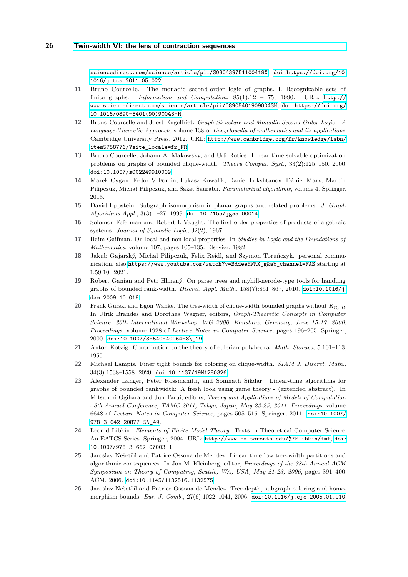[sciencedirect.com/science/article/pii/S030439751100418X](https://www.sciencedirect.com/science/article/pii/S030439751100418X), [doi:https://doi.org/10.](https://doi.org/https://doi.org/10.1016/j.tcs.2011.05.022) [1016/j.tcs.2011.05.022](https://doi.org/https://doi.org/10.1016/j.tcs.2011.05.022).

- <span id="page-25-8"></span>**11** Bruno Courcelle. The monadic second-order logic of graphs. I. Recognizable sets of finite graphs. *Information and Computation*, 85(1):12 – 75, 1990. URL: [http://](http://www.sciencedirect.com/science/article/pii/089054019090043H) [www.sciencedirect.com/science/article/pii/089054019090043H](http://www.sciencedirect.com/science/article/pii/089054019090043H), [doi:https://doi.org/](https://doi.org/https://doi.org/10.1016/0890-5401(90)90043-H) [10.1016/0890-5401\(90\)90043-H](https://doi.org/https://doi.org/10.1016/0890-5401(90)90043-H).
- <span id="page-25-9"></span>**12** Bruno Courcelle and Joost Engelfriet. *Graph Structure and Monadic Second-Order Logic - A Language-Theoretic Approach*, volume 138 of *Encyclopedia of mathematics and its applications*. Cambridge University Press, 2012. URL: [http://www.cambridge.org/fr/knowledge/isbn/](http://www.cambridge.org/fr/knowledge/isbn/item5758776/?site_locale=fr_FR) [item5758776/?site\\_locale=fr\\_FR](http://www.cambridge.org/fr/knowledge/isbn/item5758776/?site_locale=fr_FR).
- <span id="page-25-0"></span>**13** Bruno Courcelle, Johann A. Makowsky, and Udi Rotics. Linear time solvable optimization problems on graphs of bounded clique-width. *Theory Comput. Syst.*, 33(2):125–150, 2000. [doi:10.1007/s002249910009](https://doi.org/10.1007/s002249910009).
- <span id="page-25-2"></span>**14** Marek Cygan, Fedor V Fomin, Lukasz Kowalik, Daniel Lokshtanov, Dániel Marx, Marcin Pilipczuk, Michał Pilipczuk, and Saket Saurabh. *Parameterized algorithms*, volume 4. Springer, 2015.
- <span id="page-25-3"></span>**15** David Eppstein. Subgraph isomorphism in planar graphs and related problems. *J. Graph Algorithms Appl.*, 3(3):1–27, 1999. [doi:10.7155/jgaa.00014](https://doi.org/10.7155/jgaa.00014).
- <span id="page-25-1"></span>**16** Solomon Feferman and Robert L Vaught. The first order properties of products of algebraic systems. *Journal of Symbolic Logic*, 32(2), 1967.
- <span id="page-25-15"></span>**17** Haim Gaifman. On local and non-local properties. In *Studies in Logic and the Foundations of Mathematics*, volume 107, pages 105–135. Elsevier, 1982.
- <span id="page-25-12"></span>**18** Jakub Gajarský, Michal Pilipczuk, Felix Reidl, and Szymon Toruńczyk. personal communication, also [https://www.youtube.com/watch?v=BddeeHWRX\\_g&ab\\_channel=FAS](https://www.youtube.com/watch?v=BddeeHWRX_g&ab_channel=FAS) starting at 1:59:10. 2021.
- <span id="page-25-10"></span>**19** Robert Ganian and Petr Hlinený. On parse trees and myhill-nerode-type tools for handling graphs of bounded rank-width. *Discret. Appl. Math.*, 158(7):851–867, 2010. [doi:10.1016/j.](https://doi.org/10.1016/j.dam.2009.10.018) [dam.2009.10.018](https://doi.org/10.1016/j.dam.2009.10.018).
- <span id="page-25-4"></span>**20** Frank Gurski and Egon Wanke. The tree-width of clique-width bounded graphs without *Kn, n*. In Ulrik Brandes and Dorothea Wagner, editors, *Graph-Theoretic Concepts in Computer Science, 26th International Workshop, WG 2000, Konstanz, Germany, June 15-17, 2000, Proceedings*, volume 1928 of *Lecture Notes in Computer Science*, pages 196–205. Springer, 2000. [doi:10.1007/3-540-40064-8\\\_19](https://doi.org/10.1007/3-540-40064-8_19).
- <span id="page-25-14"></span>**21** Anton Kotzig. Contribution to the theory of eulerian polyhedra. *Math. Slovaca*, 5:101–113, 1955.
- <span id="page-25-13"></span>**22** Michael Lampis. Finer tight bounds for coloring on clique-width. *SIAM J. Discret. Math.*, 34(3):1538–1558, 2020. [doi:10.1137/19M1280326](https://doi.org/10.1137/19M1280326).
- <span id="page-25-11"></span>**23** Alexander Langer, Peter Rossmanith, and Somnath Sikdar. Linear-time algorithms for graphs of bounded rankwidth: A fresh look using game theory - (extended abstract). In Mitsunori Ogihara and Jun Tarui, editors, *Theory and Applications of Models of Computation - 8th Annual Conference, TAMC 2011, Tokyo, Japan, May 23-25, 2011. Proceedings*, volume 6648 of *Lecture Notes in Computer Science*, pages 505–516. Springer, 2011. [doi:10.1007/](https://doi.org/10.1007/978-3-642-20877-5_49) [978-3-642-20877-5\\\_49](https://doi.org/10.1007/978-3-642-20877-5_49).
- <span id="page-25-7"></span>**24** Leonid Libkin. *Elements of Finite Model Theory*. Texts in Theoretical Computer Science. An EATCS Series. Springer, 2004. URL: <http://www.cs.toronto.edu/%7Elibkin/fmt>, [doi:](https://doi.org/10.1007/978-3-662-07003-1) [10.1007/978-3-662-07003-1](https://doi.org/10.1007/978-3-662-07003-1).
- <span id="page-25-6"></span>**25** Jaroslav Nešetřil and Patrice Ossona de Mendez. Linear time low tree-width partitions and algorithmic consequences. In Jon M. Kleinberg, editor, *Proceedings of the 38th Annual ACM Symposium on Theory of Computing, Seattle, WA, USA, May 21-23, 2006*, pages 391–400. ACM, 2006. [doi:10.1145/1132516.1132575](https://doi.org/10.1145/1132516.1132575).
- <span id="page-25-5"></span>**26** Jaroslav Nešetřil and Patrice Ossona de Mendez. Tree-depth, subgraph coloring and homomorphism bounds. *Eur. J. Comb.*, 27(6):1022–1041, 2006. [doi:10.1016/j.ejc.2005.01.010](https://doi.org/10.1016/j.ejc.2005.01.010).